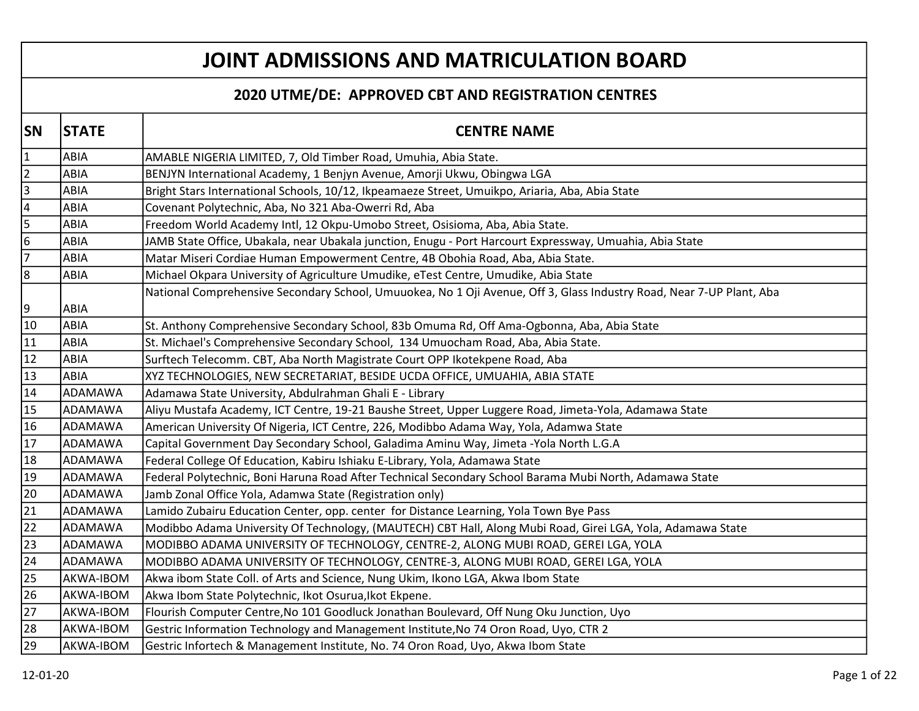## JOINT ADMISSIONS AND MATRICULATION BOARD

## 2020 UTME/DE: APPROVED CBT AND REGISTRATION CENTRES

| <b>SN</b>               | <b>STATE</b> | <b>CENTRE NAME</b>                                                                                                   |
|-------------------------|--------------|----------------------------------------------------------------------------------------------------------------------|
| $\vert$ 1               | ABIA         | AMABLE NIGERIA LIMITED, 7, Old Timber Road, Umuhia, Abia State.                                                      |
| $ 2\rangle$             | ABIA         | BENJYN International Academy, 1 Benjyn Avenue, Amorji Ukwu, Obingwa LGA                                              |
| 3                       | ABIA         | Bright Stars International Schools, 10/12, Ikpeamaeze Street, Umuikpo, Ariaria, Aba, Abia State                      |
| 4                       | ABIA         | Covenant Polytechnic, Aba, No 321 Aba-Owerri Rd, Aba                                                                 |
| $\overline{\mathbf{5}}$ | ABIA         | Freedom World Academy Intl, 12 Okpu-Umobo Street, Osisioma, Aba, Abia State.                                         |
| 6                       | ABIA         | JAMB State Office, Ubakala, near Ubakala junction, Enugu - Port Harcourt Expressway, Umuahia, Abia State             |
| 7                       | ABIA         | Matar Miseri Cordiae Human Empowerment Centre, 4B Obohia Road, Aba, Abia State.                                      |
| 8                       | ABIA         | Michael Okpara University of Agriculture Umudike, eTest Centre, Umudike, Abia State                                  |
|                         |              | National Comprehensive Secondary School, Umuuokea, No 1 Oji Avenue, Off 3, Glass Industry Road, Near 7-UP Plant, Aba |
| 9                       | ABIA         |                                                                                                                      |
| 10                      | ABIA         | St. Anthony Comprehensive Secondary School, 83b Omuma Rd, Off Ama-Ogbonna, Aba, Abia State                           |
| 11                      | ABIA         | St. Michael's Comprehensive Secondary School, 134 Umuocham Road, Aba, Abia State.                                    |
| 12                      | ABIA         | Surftech Telecomm. CBT, Aba North Magistrate Court OPP Ikotekpene Road, Aba                                          |
| $ 13\rangle$            | ABIA         | XYZ TECHNOLOGIES, NEW SECRETARIAT, BESIDE UCDA OFFICE, UMUAHIA, ABIA STATE                                           |
| 14                      | ADAMAWA      | Adamawa State University, Abdulrahman Ghali E - Library                                                              |
| $\sqrt{15}$             | ADAMAWA      | Aliyu Mustafa Academy, ICT Centre, 19-21 Baushe Street, Upper Luggere Road, Jimeta-Yola, Adamawa State               |
| 16                      | ADAMAWA      | American University Of Nigeria, ICT Centre, 226, Modibbo Adama Way, Yola, Adamwa State                               |
| 17                      | ADAMAWA      | Capital Government Day Secondary School, Galadima Aminu Way, Jimeta -Yola North L.G.A                                |
| 18                      | ADAMAWA      | Federal College Of Education, Kabiru Ishiaku E-Library, Yola, Adamawa State                                          |
| 19                      | ADAMAWA      | Federal Polytechnic, Boni Haruna Road After Technical Secondary School Barama Mubi North, Adamawa State              |
| 20                      | ADAMAWA      | Jamb Zonal Office Yola, Adamwa State (Registration only)                                                             |
| 21                      | ADAMAWA      | Lamido Zubairu Education Center, opp. center for Distance Learning, Yola Town Bye Pass                               |
| 22                      | ADAMAWA      | Modibbo Adama University Of Technology, (MAUTECH) CBT Hall, Along Mubi Road, Girei LGA, Yola, Adamawa State          |
| 23                      | ADAMAWA      | MODIBBO ADAMA UNIVERSITY OF TECHNOLOGY, CENTRE-2, ALONG MUBI ROAD, GEREI LGA, YOLA                                   |
| 24                      | ADAMAWA      | MODIBBO ADAMA UNIVERSITY OF TECHNOLOGY, CENTRE-3, ALONG MUBI ROAD, GEREI LGA, YOLA                                   |
| 25                      | AKWA-IBOM    | Akwa ibom State Coll. of Arts and Science, Nung Ukim, Ikono LGA, Akwa Ibom State                                     |
| 26                      | AKWA-IBOM    | Akwa Ibom State Polytechnic, Ikot Osurua, Ikot Ekpene.                                                               |
| 27                      | AKWA-IBOM    | Flourish Computer Centre, No 101 Goodluck Jonathan Boulevard, Off Nung Oku Junction, Uyo                             |
| 28                      | AKWA-IBOM    | Gestric Information Technology and Management Institute, No 74 Oron Road, Uyo, CTR 2                                 |
| 29                      | AKWA-IBOM    | Gestric Infortech & Management Institute, No. 74 Oron Road, Uyo, Akwa Ibom State                                     |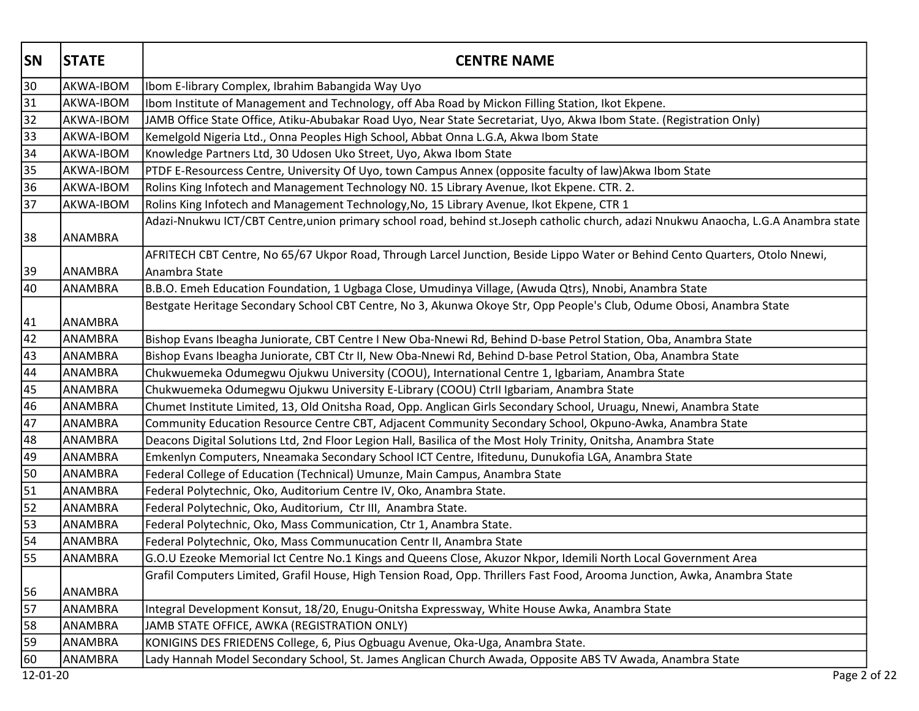| <b>SN</b>       | <b>STATE</b>   | <b>CENTRE NAME</b>                                                                                                                  |
|-----------------|----------------|-------------------------------------------------------------------------------------------------------------------------------------|
| 30              | AKWA-IBOM      | Ibom E-library Complex, Ibrahim Babangida Way Uyo                                                                                   |
| 31              | AKWA-IBOM      | Ibom Institute of Management and Technology, off Aba Road by Mickon Filling Station, Ikot Ekpene.                                   |
| 32              | AKWA-IBOM      | JAMB Office State Office, Atiku-Abubakar Road Uyo, Near State Secretariat, Uyo, Akwa Ibom State. (Registration Only)                |
| 33              | AKWA-IBOM      | Kemelgold Nigeria Ltd., Onna Peoples High School, Abbat Onna L.G.A, Akwa Ibom State                                                 |
| 34              | AKWA-IBOM      | Knowledge Partners Ltd, 30 Udosen Uko Street, Uyo, Akwa Ibom State                                                                  |
| 35              | AKWA-IBOM      | PTDF E-Resourcess Centre, University Of Uyo, town Campus Annex (opposite faculty of law)Akwa Ibom State                             |
| 36              | AKWA-IBOM      | Rolins King Infotech and Management Technology N0. 15 Library Avenue, Ikot Ekpene. CTR. 2.                                          |
| 37              | AKWA-IBOM      | Rolins King Infotech and Management Technology, No, 15 Library Avenue, Ikot Ekpene, CTR 1                                           |
|                 |                | Adazi-Nnukwu ICT/CBT Centre, union primary school road, behind st.Joseph catholic church, adazi Nnukwu Anaocha, L.G.A Anambra state |
| 38              | ANAMBRA        |                                                                                                                                     |
|                 |                | AFRITECH CBT Centre, No 65/67 Ukpor Road, Through Larcel Junction, Beside Lippo Water or Behind Cento Quarters, Otolo Nnewi,        |
| 39              | <b>ANAMBRA</b> | Anambra State                                                                                                                       |
| 40              | ANAMBRA        | B.B.O. Emeh Education Foundation, 1 Ugbaga Close, Umudinya Village, (Awuda Qtrs), Nnobi, Anambra State                              |
| 41              | ANAMBRA        | Bestgate Heritage Secondary School CBT Centre, No 3, Akunwa Okoye Str, Opp People's Club, Odume Obosi, Anambra State                |
| 42              | ANAMBRA        | Bishop Evans Ibeagha Juniorate, CBT Centre I New Oba-Nnewi Rd, Behind D-base Petrol Station, Oba, Anambra State                     |
| 43              | ANAMBRA        | Bishop Evans Ibeagha Juniorate, CBT Ctr II, New Oba-Nnewi Rd, Behind D-base Petrol Station, Oba, Anambra State                      |
| 44              | ANAMBRA        | Chukwuemeka Odumegwu Ojukwu University (COOU), International Centre 1, Igbariam, Anambra State                                      |
| 45              | ANAMBRA        | Chukwuemeka Odumegwu Ojukwu University E-Library (COOU) Ctrll Igbariam, Anambra State                                               |
| 46              | ANAMBRA        | Chumet Institute Limited, 13, Old Onitsha Road, Opp. Anglican Girls Secondary School, Uruagu, Nnewi, Anambra State                  |
| 47              | ANAMBRA        | Community Education Resource Centre CBT, Adjacent Community Secondary School, Okpuno-Awka, Anambra State                            |
| 48              | ANAMBRA        | Deacons Digital Solutions Ltd, 2nd Floor Legion Hall, Basilica of the Most Holy Trinity, Onitsha, Anambra State                     |
| 49              | ANAMBRA        | Emkenlyn Computers, Nneamaka Secondary School ICT Centre, Ifitedunu, Dunukofia LGA, Anambra State                                   |
| 50              | ANAMBRA        | Federal College of Education (Technical) Umunze, Main Campus, Anambra State                                                         |
| 51              | ANAMBRA        | Federal Polytechnic, Oko, Auditorium Centre IV, Oko, Anambra State.                                                                 |
| 52              | ANAMBRA        | Federal Polytechnic, Oko, Auditorium, Ctr III, Anambra State.                                                                       |
| $\overline{53}$ | ANAMBRA        | Federal Polytechnic, Oko, Mass Communication, Ctr 1, Anambra State.                                                                 |
| 54              | ANAMBRA        | Federal Polytechnic, Oko, Mass Communucation Centr II, Anambra State                                                                |
| 55              | ANAMBRA        | G.O.U Ezeoke Memorial Ict Centre No.1 Kings and Queens Close, Akuzor Nkpor, Idemili North Local Government Area                     |
|                 |                | Grafil Computers Limited, Grafil House, High Tension Road, Opp. Thrillers Fast Food, Arooma Junction, Awka, Anambra State           |
| 56              | ANAMBRA        |                                                                                                                                     |
| 57              | ANAMBRA        | Integral Development Konsut, 18/20, Enugu-Onitsha Expressway, White House Awka, Anambra State                                       |
| 58              | ANAMBRA        | JAMB STATE OFFICE, AWKA (REGISTRATION ONLY)                                                                                         |
| 59              | ANAMBRA        | KONIGINS DES FRIEDENS College, 6, Pius Ogbuagu Avenue, Oka-Uga, Anambra State.                                                      |
| 60<br>12-01-20  | ANAMBRA        | Lady Hannah Model Secondary School, St. James Anglican Church Awada, Opposite ABS TV Awada, Anambra State<br>Page 2 of 22           |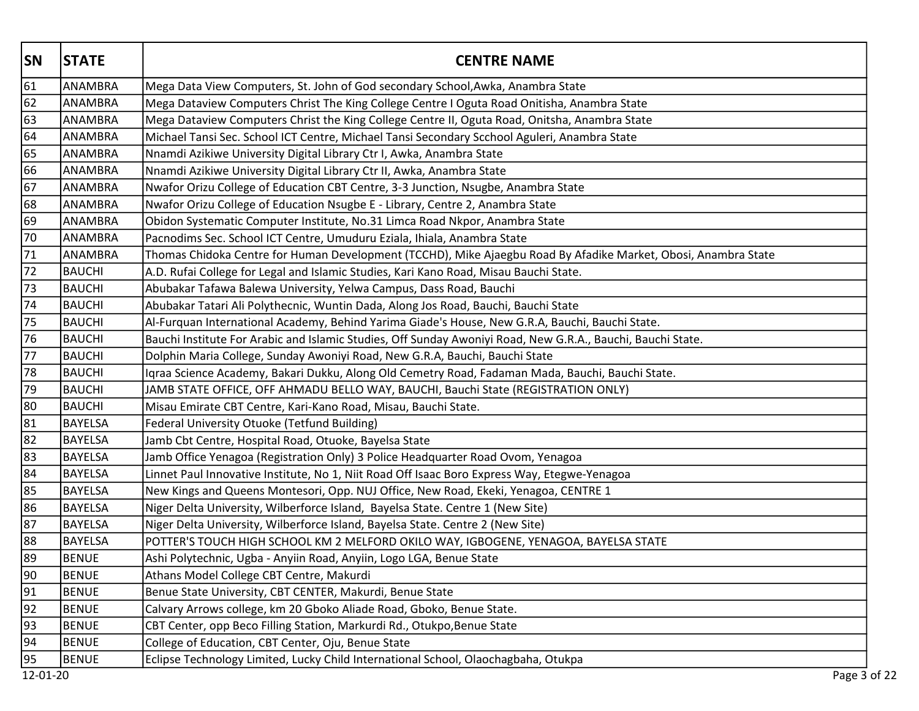| <b>SN</b>       | <b>STATE</b>   | <b>CENTRE NAME</b>                                                                                             |
|-----------------|----------------|----------------------------------------------------------------------------------------------------------------|
| 61              | ANAMBRA        | Mega Data View Computers, St. John of God secondary School, Awka, Anambra State                                |
| 62              | ANAMBRA        | Mega Dataview Computers Christ The King College Centre I Oguta Road Onitisha, Anambra State                    |
| 63              | ANAMBRA        | Mega Dataview Computers Christ the King College Centre II, Oguta Road, Onitsha, Anambra State                  |
| 64              | ANAMBRA        | Michael Tansi Sec. School ICT Centre, Michael Tansi Secondary Scchool Aguleri, Anambra State                   |
| 65              | ANAMBRA        | Nnamdi Azikiwe University Digital Library Ctr I, Awka, Anambra State                                           |
| 66              | <b>ANAMBRA</b> | Nnamdi Azikiwe University Digital Library Ctr II, Awka, Anambra State                                          |
| 67              | ANAMBRA        | Nwafor Orizu College of Education CBT Centre, 3-3 Junction, Nsugbe, Anambra State                              |
| 68              | ANAMBRA        | Nwafor Orizu College of Education Nsugbe E - Library, Centre 2, Anambra State                                  |
| 69              | ANAMBRA        | Obidon Systematic Computer Institute, No.31 Limca Road Nkpor, Anambra State                                    |
| 70              | ANAMBRA        | Pacnodims Sec. School ICT Centre, Umuduru Eziala, Ihiala, Anambra State                                        |
| 71              | ANAMBRA        | Thomas Chidoka Centre for Human Development (TCCHD), Mike Ajaegbu Road By Afadike Market, Obosi, Anambra State |
| 72              | <b>BAUCHI</b>  | A.D. Rufai College for Legal and Islamic Studies, Kari Kano Road, Misau Bauchi State.                          |
| 73              | BAUCHI         | Abubakar Tafawa Balewa University, Yelwa Campus, Dass Road, Bauchi                                             |
| 74              | <b>BAUCHI</b>  | Abubakar Tatari Ali Polythecnic, Wuntin Dada, Along Jos Road, Bauchi, Bauchi State                             |
| 75              | <b>BAUCHI</b>  | Al-Furquan International Academy, Behind Yarima Giade's House, New G.R.A, Bauchi, Bauchi State.                |
| $\overline{76}$ | BAUCHI         | Bauchi Institute For Arabic and Islamic Studies, Off Sunday Awoniyi Road, New G.R.A., Bauchi, Bauchi State.    |
| 77              | <b>BAUCHI</b>  | Dolphin Maria College, Sunday Awoniyi Road, New G.R.A, Bauchi, Bauchi State                                    |
| 78              | <b>BAUCHI</b>  | Igraa Science Academy, Bakari Dukku, Along Old Cemetry Road, Fadaman Mada, Bauchi, Bauchi State.               |
| 79              | <b>BAUCHI</b>  | JAMB STATE OFFICE, OFF AHMADU BELLO WAY, BAUCHI, Bauchi State (REGISTRATION ONLY)                              |
| 80              | <b>BAUCHI</b>  | Misau Emirate CBT Centre, Kari-Kano Road, Misau, Bauchi State.                                                 |
| 81              | BAYELSA        | Federal University Otuoke (Tetfund Building)                                                                   |
| $\overline{82}$ | <b>BAYELSA</b> | Jamb Cbt Centre, Hospital Road, Otuoke, Bayelsa State                                                          |
| 83              | <b>BAYELSA</b> | Jamb Office Yenagoa (Registration Only) 3 Police Headquarter Road Ovom, Yenagoa                                |
| 84              | BAYELSA        | Linnet Paul Innovative Institute, No 1, Niit Road Off Isaac Boro Express Way, Etegwe-Yenagoa                   |
| 85              | <b>BAYELSA</b> | New Kings and Queens Montesori, Opp. NUJ Office, New Road, Ekeki, Yenagoa, CENTRE 1                            |
| 86              | BAYELSA        | Niger Delta University, Wilberforce Island, Bayelsa State. Centre 1 (New Site)                                 |
| 87              | <b>BAYELSA</b> | Niger Delta University, Wilberforce Island, Bayelsa State. Centre 2 (New Site)                                 |
| 88              | <b>BAYELSA</b> | POTTER'S TOUCH HIGH SCHOOL KM 2 MELFORD OKILO WAY, IGBOGENE, YENAGOA, BAYELSA STATE                            |
| 89              | <b>BENUE</b>   | Ashi Polytechnic, Ugba - Anyiin Road, Anyiin, Logo LGA, Benue State                                            |
| $\overline{90}$ | <b>BENUE</b>   | Athans Model College CBT Centre, Makurdi                                                                       |
| 91              | <b>BENUE</b>   | Benue State University, CBT CENTER, Makurdi, Benue State                                                       |
| 92              | <b>BENUE</b>   | Calvary Arrows college, km 20 Gboko Aliade Road, Gboko, Benue State.                                           |
| 93              | <b>BENUE</b>   | CBT Center, opp Beco Filling Station, Markurdi Rd., Otukpo, Benue State                                        |
| 94              | <b>BENUE</b>   | College of Education, CBT Center, Oju, Benue State                                                             |
| $\overline{95}$ | <b>BENUE</b>   | Eclipse Technology Limited, Lucky Child International School, Olaochagbaha, Otukpa                             |
| 12-01-20        |                | Page 3 of 22                                                                                                   |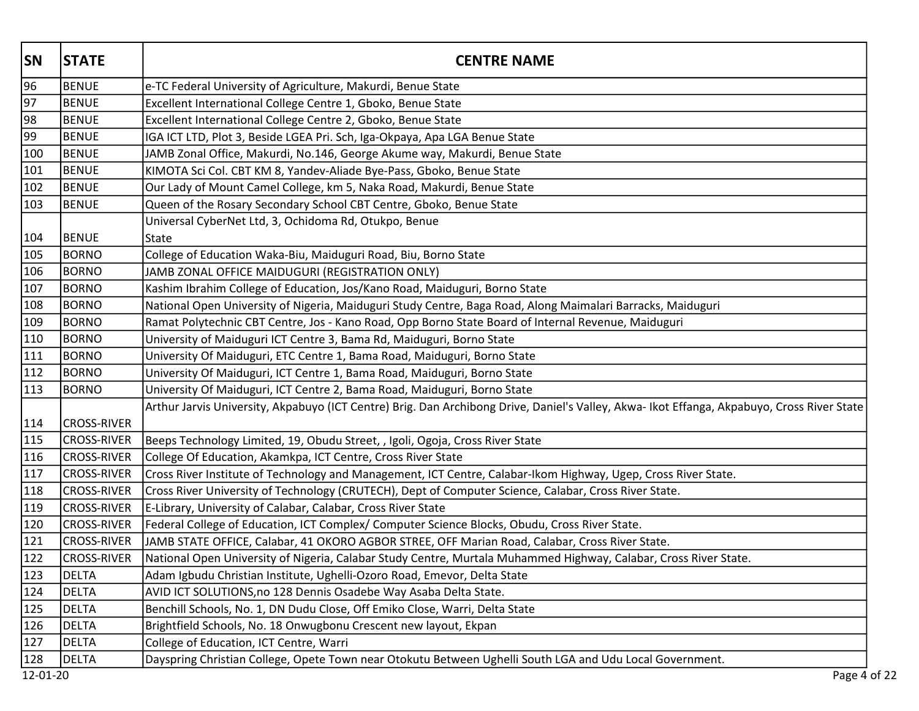| <b>SN</b> | <b>STATE</b>       | <b>CENTRE NAME</b>                                                                                                                          |
|-----------|--------------------|---------------------------------------------------------------------------------------------------------------------------------------------|
| 96        | <b>BENUE</b>       | e-TC Federal University of Agriculture, Makurdi, Benue State                                                                                |
| 97        | <b>BENUE</b>       | Excellent International College Centre 1, Gboko, Benue State                                                                                |
| 98        | <b>BENUE</b>       | Excellent International College Centre 2, Gboko, Benue State                                                                                |
| 99        | <b>BENUE</b>       | IGA ICT LTD, Plot 3, Beside LGEA Pri. Sch, Iga-Okpaya, Apa LGA Benue State                                                                  |
| 100       | BENUE              | JAMB Zonal Office, Makurdi, No.146, George Akume way, Makurdi, Benue State                                                                  |
| 101       | <b>BENUE</b>       | KIMOTA Sci Col. CBT KM 8, Yandev-Aliade Bye-Pass, Gboko, Benue State                                                                        |
| 102       | <b>BENUE</b>       | Our Lady of Mount Camel College, km 5, Naka Road, Makurdi, Benue State                                                                      |
| 103       | <b>BENUE</b>       | Queen of the Rosary Secondary School CBT Centre, Gboko, Benue State                                                                         |
|           |                    | Universal CyberNet Ltd, 3, Ochidoma Rd, Otukpo, Benue                                                                                       |
| 104       | <b>BENUE</b>       | State                                                                                                                                       |
| 105       | BORNO              | College of Education Waka-Biu, Maiduguri Road, Biu, Borno State                                                                             |
| 106       | <b>BORNO</b>       | JAMB ZONAL OFFICE MAIDUGURI (REGISTRATION ONLY)                                                                                             |
| 107       | <b>BORNO</b>       | Kashim Ibrahim College of Education, Jos/Kano Road, Maiduguri, Borno State                                                                  |
| 108       | <b>BORNO</b>       | National Open University of Nigeria, Maiduguri Study Centre, Baga Road, Along Maimalari Barracks, Maiduguri                                 |
| 109       | <b>BORNO</b>       | Ramat Polytechnic CBT Centre, Jos - Kano Road, Opp Borno State Board of Internal Revenue, Maiduguri                                         |
| 110       | <b>BORNO</b>       | University of Maiduguri ICT Centre 3, Bama Rd, Maiduguri, Borno State                                                                       |
| 111       | <b>BORNO</b>       | University Of Maiduguri, ETC Centre 1, Bama Road, Maiduguri, Borno State                                                                    |
| 112       | BORNO              | University Of Maiduguri, ICT Centre 1, Bama Road, Maiduguri, Borno State                                                                    |
| 113       | BORNO              | University Of Maiduguri, ICT Centre 2, Bama Road, Maiduguri, Borno State                                                                    |
|           |                    | Arthur Jarvis University, Akpabuyo (ICT Centre) Brig. Dan Archibong Drive, Daniel's Valley, Akwa- Ikot Effanga, Akpabuyo, Cross River State |
| 114       | <b>CROSS-RIVER</b> |                                                                                                                                             |
| 115       | <b>CROSS-RIVER</b> | Beeps Technology Limited, 19, Obudu Street, , Igoli, Ogoja, Cross River State                                                               |
| 116       | <b>CROSS-RIVER</b> | College Of Education, Akamkpa, ICT Centre, Cross River State                                                                                |
| 117       | <b>CROSS-RIVER</b> | Cross River Institute of Technology and Management, ICT Centre, Calabar-Ikom Highway, Ugep, Cross River State.                              |
| 118       | <b>CROSS-RIVER</b> | Cross River University of Technology (CRUTECH), Dept of Computer Science, Calabar, Cross River State.                                       |
| 119       | <b>CROSS-RIVER</b> | E-Library, University of Calabar, Calabar, Cross River State                                                                                |
| 120       | <b>CROSS-RIVER</b> | Federal College of Education, ICT Complex/ Computer Science Blocks, Obudu, Cross River State.                                               |
| 121       | <b>CROSS-RIVER</b> | JAMB STATE OFFICE, Calabar, 41 OKORO AGBOR STREE, OFF Marian Road, Calabar, Cross River State.                                              |
| 122       | <b>CROSS-RIVER</b> | National Open University of Nigeria, Calabar Study Centre, Murtala Muhammed Highway, Calabar, Cross River State.                            |
| 123       | <b>DELTA</b>       | Adam Igbudu Christian Institute, Ughelli-Ozoro Road, Emevor, Delta State                                                                    |
| 124       | DELTA              | AVID ICT SOLUTIONS, no 128 Dennis Osadebe Way Asaba Delta State.                                                                            |
| 125       | DELTA              | Benchill Schools, No. 1, DN Dudu Close, Off Emiko Close, Warri, Delta State                                                                 |
| 126       | DELTA              | Brightfield Schools, No. 18 Onwugbonu Crescent new layout, Ekpan                                                                            |
| 127       | <b>DELTA</b>       | College of Education, ICT Centre, Warri                                                                                                     |
| 128       | <b>DELTA</b>       | Dayspring Christian College, Opete Town near Otokutu Between Ughelli South LGA and Udu Local Government.                                    |
| 12-01-20  |                    | Page 4 of 22                                                                                                                                |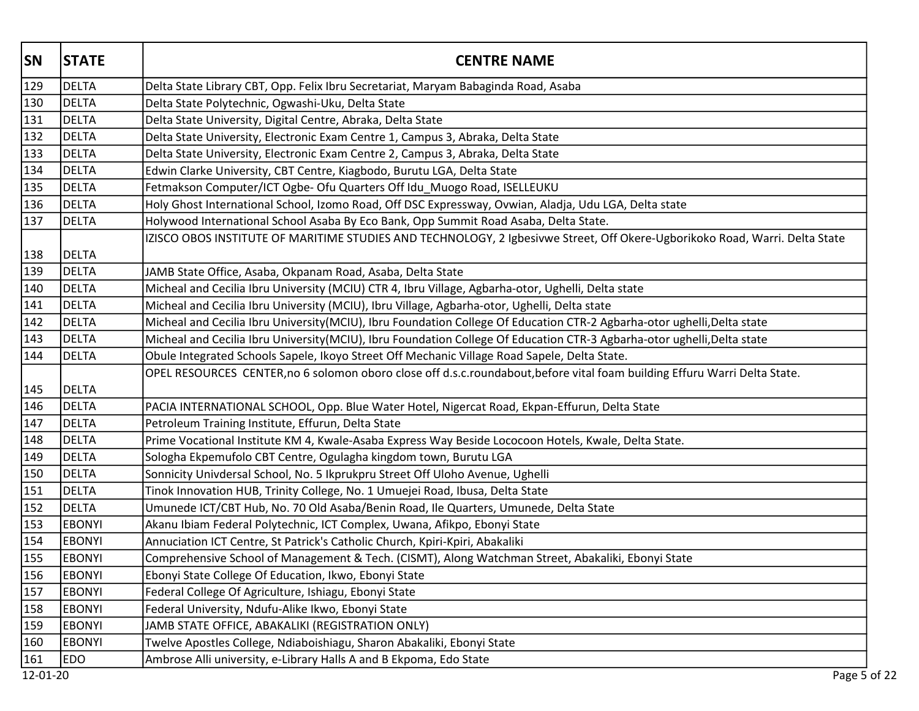| <b>SN</b> | <b>STATE</b>  | <b>CENTRE NAME</b>                                                                                                          |
|-----------|---------------|-----------------------------------------------------------------------------------------------------------------------------|
| 129       | DELTA         | Delta State Library CBT, Opp. Felix Ibru Secretariat, Maryam Babaginda Road, Asaba                                          |
| 130       | DELTA         | Delta State Polytechnic, Ogwashi-Uku, Delta State                                                                           |
| 131       | DELTA         | Delta State University, Digital Centre, Abraka, Delta State                                                                 |
| 132       | <b>DELTA</b>  | Delta State University, Electronic Exam Centre 1, Campus 3, Abraka, Delta State                                             |
| 133       | DELTA         | Delta State University, Electronic Exam Centre 2, Campus 3, Abraka, Delta State                                             |
| 134       | DELTA         | Edwin Clarke University, CBT Centre, Kiagbodo, Burutu LGA, Delta State                                                      |
| 135       | DELTA         | Fetmakson Computer/ICT Ogbe- Ofu Quarters Off Idu_Muogo Road, ISELLEUKU                                                     |
| 136       | DELTA         | Holy Ghost International School, Izomo Road, Off DSC Expressway, Ovwian, Aladja, Udu LGA, Delta state                       |
| 137       | DELTA         | Holywood International School Asaba By Eco Bank, Opp Summit Road Asaba, Delta State.                                        |
|           |               | IZISCO OBOS INSTITUTE OF MARITIME STUDIES AND TECHNOLOGY, 2 Igbesivwe Street, Off Okere-Ugborikoko Road, Warri. Delta State |
| 138       | DELTA         |                                                                                                                             |
| 139       | DELTA         | JAMB State Office, Asaba, Okpanam Road, Asaba, Delta State                                                                  |
| 140       | DELTA         | Micheal and Cecilia Ibru University (MCIU) CTR 4, Ibru Village, Agbarha-otor, Ughelli, Delta state                          |
| 141       | DELTA         | Micheal and Cecilia Ibru University (MCIU), Ibru Village, Agbarha-otor, Ughelli, Delta state                                |
| 142       | DELTA         | Micheal and Cecilia Ibru University(MCIU), Ibru Foundation College Of Education CTR-2 Agbarha-otor ughelli,Delta state      |
| 143       | <b>DELTA</b>  | Micheal and Cecilia Ibru University(MCIU), Ibru Foundation College Of Education CTR-3 Agbarha-otor ughelli,Delta state      |
| 144       | DELTA         | Obule Integrated Schools Sapele, Ikoyo Street Off Mechanic Village Road Sapele, Delta State.                                |
| 145       | DELTA         | OPEL RESOURCES CENTER, no 6 solomon oboro close off d.s.c.roundabout, before vital foam building Effuru Warri Delta State.  |
| 146       | DELTA         | PACIA INTERNATIONAL SCHOOL, Opp. Blue Water Hotel, Nigercat Road, Ekpan-Effurun, Delta State                                |
| 147       | DELTA         | Petroleum Training Institute, Effurun, Delta State                                                                          |
| 148       | DELTA         | Prime Vocational Institute KM 4, Kwale-Asaba Express Way Beside Lococoon Hotels, Kwale, Delta State.                        |
| 149       | <b>DELTA</b>  | Sologha Ekpemufolo CBT Centre, Ogulagha kingdom town, Burutu LGA                                                            |
| 150       | DELTA         | Sonnicity Univdersal School, No. 5 Ikprukpru Street Off Uloho Avenue, Ughelli                                               |
| 151       | DELTA         | Tinok Innovation HUB, Trinity College, No. 1 Umuejei Road, Ibusa, Delta State                                               |
| 152       | DELTA         | Umunede ICT/CBT Hub, No. 70 Old Asaba/Benin Road, Ile Quarters, Umunede, Delta State                                        |
| 153       | <b>EBONYI</b> | Akanu Ibiam Federal Polytechnic, ICT Complex, Uwana, Afikpo, Ebonyi State                                                   |
| 154       | <b>EBONYI</b> | Annuciation ICT Centre, St Patrick's Catholic Church, Kpiri-Kpiri, Abakaliki                                                |
| 155       | <b>EBONYI</b> | Comprehensive School of Management & Tech. (CISMT), Along Watchman Street, Abakaliki, Ebonyi State                          |
| 156       | <b>EBONYI</b> | Ebonyi State College Of Education, Ikwo, Ebonyi State                                                                       |
| 157       | <b>EBONYI</b> | Federal College Of Agriculture, Ishiagu, Ebonyi State                                                                       |
| 158       | <b>EBONYI</b> | Federal University, Ndufu-Alike Ikwo, Ebonyi State                                                                          |
| 159       | <b>EBONYI</b> | JAMB STATE OFFICE, ABAKALIKI (REGISTRATION ONLY)                                                                            |
| 160       | <b>EBONYI</b> | Twelve Apostles College, Ndiaboishiagu, Sharon Abakaliki, Ebonyi State                                                      |
| 161       | <b>EDO</b>    | Ambrose Alli university, e-Library Halls A and B Ekpoma, Edo State                                                          |
| 12-01-20  |               | Page 5 of 22                                                                                                                |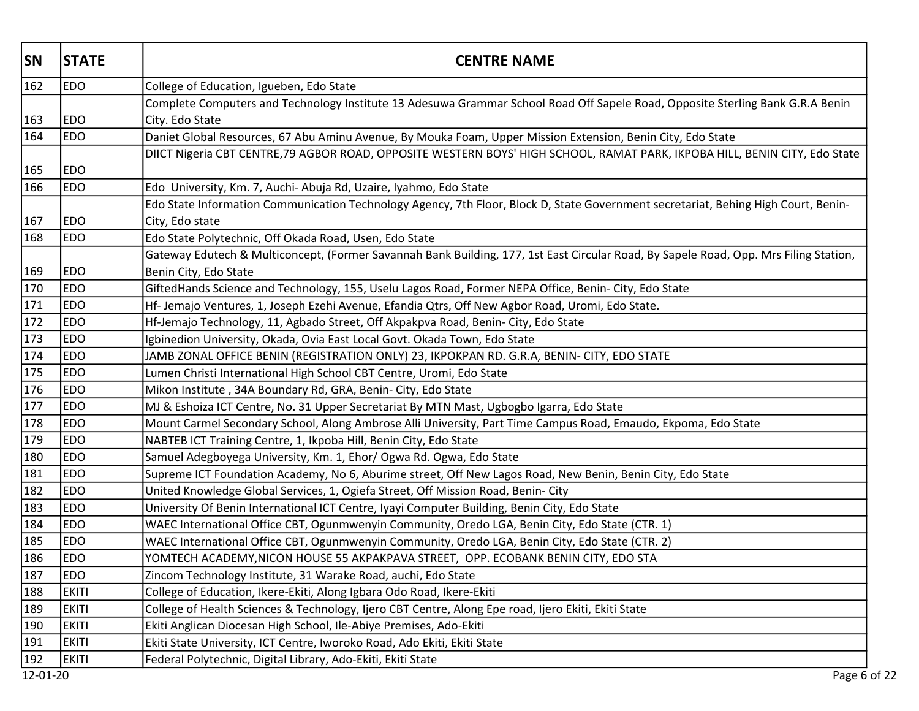| <b>SN</b>        | <b>STATE</b> | <b>CENTRE NAME</b>                                                                                                                                |
|------------------|--------------|---------------------------------------------------------------------------------------------------------------------------------------------------|
| 162              | <b>EDO</b>   | College of Education, Igueben, Edo State                                                                                                          |
| 163              | <b>EDO</b>   | Complete Computers and Technology Institute 13 Adesuwa Grammar School Road Off Sapele Road, Opposite Sterling Bank G.R.A Benin<br>City. Edo State |
| 164              | <b>EDO</b>   | Daniet Global Resources, 67 Abu Aminu Avenue, By Mouka Foam, Upper Mission Extension, Benin City, Edo State                                       |
|                  |              | DIICT Nigeria CBT CENTRE,79 AGBOR ROAD, OPPOSITE WESTERN BOYS' HIGH SCHOOL, RAMAT PARK, IKPOBA HILL, BENIN CITY, Edo State                        |
| 165              | <b>EDO</b>   |                                                                                                                                                   |
| 166              | <b>EDO</b>   | Edo University, Km. 7, Auchi- Abuja Rd, Uzaire, Iyahmo, Edo State                                                                                 |
|                  |              | Edo State Information Communication Technology Agency, 7th Floor, Block D, State Government secretariat, Behing High Court, Benin-                |
| 167              | <b>EDO</b>   | City, Edo state                                                                                                                                   |
| 168              | <b>EDO</b>   | Edo State Polytechnic, Off Okada Road, Usen, Edo State                                                                                            |
|                  |              | Gateway Edutech & Multiconcept, (Former Savannah Bank Building, 177, 1st East Circular Road, By Sapele Road, Opp. Mrs Filing Station,             |
| 169              | <b>EDO</b>   | Benin City, Edo State                                                                                                                             |
| 170              | <b>EDO</b>   | GiftedHands Science and Technology, 155, Uselu Lagos Road, Former NEPA Office, Benin- City, Edo State                                             |
| 171              | <b>EDO</b>   | Hf- Jemajo Ventures, 1, Joseph Ezehi Avenue, Efandia Qtrs, Off New Agbor Road, Uromi, Edo State.                                                  |
| 172              | <b>EDO</b>   | Hf-Jemajo Technology, 11, Agbado Street, Off Akpakpva Road, Benin- City, Edo State                                                                |
| 173              | <b>EDO</b>   | Igbinedion University, Okada, Ovia East Local Govt. Okada Town, Edo State                                                                         |
| 174              | <b>EDO</b>   | JAMB ZONAL OFFICE BENIN (REGISTRATION ONLY) 23, IKPOKPAN RD. G.R.A, BENIN- CITY, EDO STATE                                                        |
| 175              | <b>EDO</b>   | Lumen Christi International High School CBT Centre, Uromi, Edo State                                                                              |
| 176              | <b>EDO</b>   | Mikon Institute, 34A Boundary Rd, GRA, Benin- City, Edo State                                                                                     |
| $\overline{177}$ | <b>EDO</b>   | MJ & Eshoiza ICT Centre, No. 31 Upper Secretariat By MTN Mast, Ugbogbo Igarra, Edo State                                                          |
| 178              | <b>EDO</b>   | Mount Carmel Secondary School, Along Ambrose Alli University, Part Time Campus Road, Emaudo, Ekpoma, Edo State                                    |
| 179              | <b>EDO</b>   | NABTEB ICT Training Centre, 1, Ikpoba Hill, Benin City, Edo State                                                                                 |
| 180              | <b>EDO</b>   | Samuel Adegboyega University, Km. 1, Ehor/ Ogwa Rd. Ogwa, Edo State                                                                               |
| 181              | <b>EDO</b>   | Supreme ICT Foundation Academy, No 6, Aburime street, Off New Lagos Road, New Benin, Benin City, Edo State                                        |
| 182              | <b>EDO</b>   | United Knowledge Global Services, 1, Ogiefa Street, Off Mission Road, Benin- City                                                                 |
| 183              | <b>EDO</b>   | University Of Benin International ICT Centre, Iyayi Computer Building, Benin City, Edo State                                                      |
| 184              | <b>EDO</b>   | WAEC International Office CBT, Ogunmwenyin Community, Oredo LGA, Benin City, Edo State (CTR. 1)                                                   |
| 185              | <b>EDO</b>   | WAEC International Office CBT, Ogunmwenyin Community, Oredo LGA, Benin City, Edo State (CTR. 2)                                                   |
| 186              | <b>EDO</b>   | YOMTECH ACADEMY, NICON HOUSE 55 AKPAKPAVA STREET, OPP. ECOBANK BENIN CITY, EDO STA                                                                |
| 187              | <b>EDO</b>   | Zincom Technology Institute, 31 Warake Road, auchi, Edo State                                                                                     |
| 188              | <b>EKITI</b> | College of Education, Ikere-Ekiti, Along Igbara Odo Road, Ikere-Ekiti                                                                             |
| 189              | <b>EKITI</b> | College of Health Sciences & Technology, Ijero CBT Centre, Along Epe road, Ijero Ekiti, Ekiti State                                               |
| 190              | <b>EKITI</b> | Ekiti Anglican Diocesan High School, Ile-Abiye Premises, Ado-Ekiti                                                                                |
| 191              | <b>EKITI</b> | Ekiti State University, ICT Centre, Iworoko Road, Ado Ekiti, Ekiti State                                                                          |
| 192              | <b>EKITI</b> | Federal Polytechnic, Digital Library, Ado-Ekiti, Ekiti State                                                                                      |
| 12-01-20         |              | Page 6 of 22                                                                                                                                      |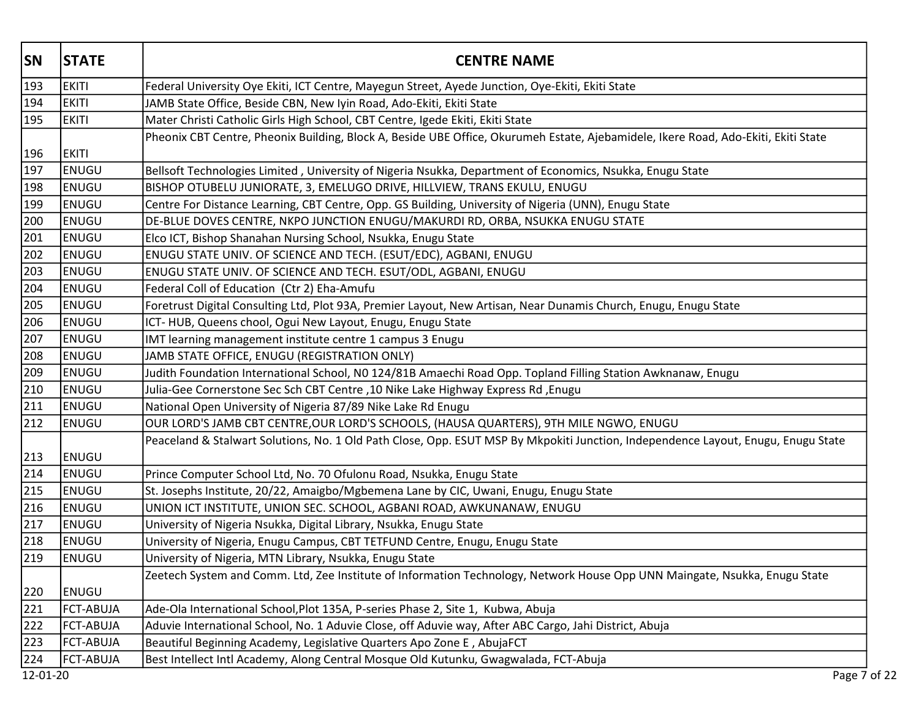| <b>SN</b> | <b>STATE</b>     | <b>CENTRE NAME</b>                                                                                                                 |
|-----------|------------------|------------------------------------------------------------------------------------------------------------------------------------|
| 193       | <b>EKITI</b>     | Federal University Oye Ekiti, ICT Centre, Mayegun Street, Ayede Junction, Oye-Ekiti, Ekiti State                                   |
| 194       | <b>EKITI</b>     | JAMB State Office, Beside CBN, New Iyin Road, Ado-Ekiti, Ekiti State                                                               |
| 195       | <b>EKITI</b>     | Mater Christi Catholic Girls High School, CBT Centre, Igede Ekiti, Ekiti State                                                     |
|           |                  | Pheonix CBT Centre, Pheonix Building, Block A, Beside UBE Office, Okurumeh Estate, Ajebamidele, Ikere Road, Ado-Ekiti, Ekiti State |
| 196       | <b>EKITI</b>     |                                                                                                                                    |
| 197       | ENUGU            | Bellsoft Technologies Limited, University of Nigeria Nsukka, Department of Economics, Nsukka, Enugu State                          |
| 198       | ENUGU            | BISHOP OTUBELU JUNIORATE, 3, EMELUGO DRIVE, HILLVIEW, TRANS EKULU, ENUGU                                                           |
| 199       | <b>ENUGU</b>     | Centre For Distance Learning, CBT Centre, Opp. GS Building, University of Nigeria (UNN), Enugu State                               |
| 200       | <b>ENUGU</b>     | DE-BLUE DOVES CENTRE, NKPO JUNCTION ENUGU/MAKURDI RD, ORBA, NSUKKA ENUGU STATE                                                     |
| 201       | <b>ENUGU</b>     | Elco ICT, Bishop Shanahan Nursing School, Nsukka, Enugu State                                                                      |
| 202       | <b>ENUGU</b>     | ENUGU STATE UNIV. OF SCIENCE AND TECH. (ESUT/EDC), AGBANI, ENUGU                                                                   |
| 203       | <b>ENUGU</b>     | ENUGU STATE UNIV. OF SCIENCE AND TECH. ESUT/ODL, AGBANI, ENUGU                                                                     |
| 204       | ENUGU            | Federal Coll of Education (Ctr 2) Eha-Amufu                                                                                        |
| 205       | <b>ENUGU</b>     | Foretrust Digital Consulting Ltd, Plot 93A, Premier Layout, New Artisan, Near Dunamis Church, Enugu, Enugu State                   |
| 206       | <b>ENUGU</b>     | ICT-HUB, Queens chool, Ogui New Layout, Enugu, Enugu State                                                                         |
| 207       | ENUGU            | IMT learning management institute centre 1 campus 3 Enugu                                                                          |
| 208       | <b>ENUGU</b>     | JAMB STATE OFFICE, ENUGU (REGISTRATION ONLY)                                                                                       |
| 209       | <b>ENUGU</b>     | Judith Foundation International School, N0 124/81B Amaechi Road Opp. Topland Filling Station Awknanaw, Enugu                       |
| 210       | <b>ENUGU</b>     | Julia-Gee Cornerstone Sec Sch CBT Centre ,10 Nike Lake Highway Express Rd, Enugu                                                   |
| 211       | <b>ENUGU</b>     | National Open University of Nigeria 87/89 Nike Lake Rd Enugu                                                                       |
| 212       | ENUGU            | OUR LORD'S JAMB CBT CENTRE, OUR LORD'S SCHOOLS, (HAUSA QUARTERS), 9TH MILE NGWO, ENUGU                                             |
| 213       | <b>ENUGU</b>     | Peaceland & Stalwart Solutions, No. 1 Old Path Close, Opp. ESUT MSP By Mkpokiti Junction, Independence Layout, Enugu, Enugu State  |
| 214       | ENUGU            | Prince Computer School Ltd, No. 70 Ofulonu Road, Nsukka, Enugu State                                                               |
| 215       | ENUGU            | St. Josephs Institute, 20/22, Amaigbo/Mgbemena Lane by CIC, Uwani, Enugu, Enugu State                                              |
| 216       | ENUGU            | UNION ICT INSTITUTE, UNION SEC. SCHOOL, AGBANI ROAD, AWKUNANAW, ENUGU                                                              |
| 217       | ENUGU            | University of Nigeria Nsukka, Digital Library, Nsukka, Enugu State                                                                 |
| 218       | ENUGU            | University of Nigeria, Enugu Campus, CBT TETFUND Centre, Enugu, Enugu State                                                        |
| 219       | ENUGU            | University of Nigeria, MTN Library, Nsukka, Enugu State                                                                            |
|           |                  | Zeetech System and Comm. Ltd, Zee Institute of Information Technology, Network House Opp UNN Maingate, Nsukka, Enugu State         |
| 220       | ENUGU            |                                                                                                                                    |
| 221       | <b>FCT-ABUJA</b> | Ade-Ola International School, Plot 135A, P-series Phase 2, Site 1, Kubwa, Abuja                                                    |
| 222       | <b>FCT-ABUJA</b> | Aduvie International School, No. 1 Aduvie Close, off Aduvie way, After ABC Cargo, Jahi District, Abuja                             |
| 223       | <b>FCT-ABUJA</b> | Beautiful Beginning Academy, Legislative Quarters Apo Zone E, AbujaFCT                                                             |
| 224       | <b>FCT-ABUJA</b> | Best Intellect Intl Academy, Along Central Mosque Old Kutunku, Gwagwalada, FCT-Abuja                                               |
| 12-01-20  |                  | Page 7 of 22                                                                                                                       |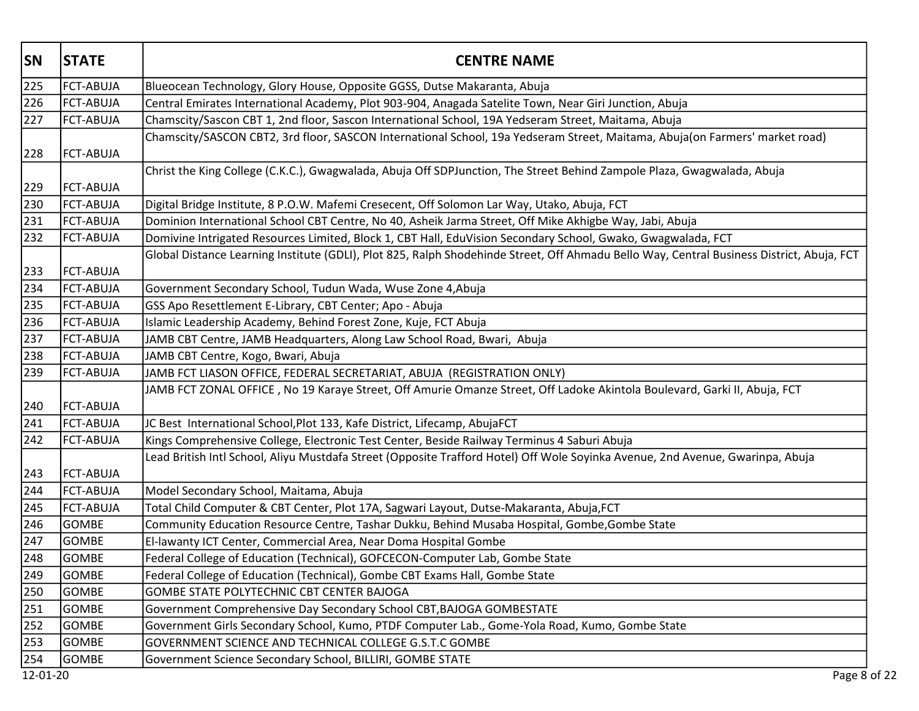| <b>SN</b> | <b>STATE</b>     | <b>CENTRE NAME</b>                                                                                                                        |
|-----------|------------------|-------------------------------------------------------------------------------------------------------------------------------------------|
| 225       | <b>FCT-ABUJA</b> | Blueocean Technology, Glory House, Opposite GGSS, Dutse Makaranta, Abuja                                                                  |
| 226       | <b>FCT-ABUJA</b> | Central Emirates International Academy, Plot 903-904, Anagada Satelite Town, Near Giri Junction, Abuja                                    |
| 227       | FCT-ABUJA        | Chamscity/Sascon CBT 1, 2nd floor, Sascon International School, 19A Yedseram Street, Maitama, Abuja                                       |
|           |                  | Chamscity/SASCON CBT2, 3rd floor, SASCON International School, 19a Yedseram Street, Maitama, Abuja(on Farmers' market road)               |
| 228       | FCT-ABUJA        |                                                                                                                                           |
|           |                  | Christ the King College (C.K.C.), Gwagwalada, Abuja Off SDPJunction, The Street Behind Zampole Plaza, Gwagwalada, Abuja                   |
| 229       | <b>FCT-ABUJA</b> |                                                                                                                                           |
| 230       | <b>FCT-ABUJA</b> | Digital Bridge Institute, 8 P.O.W. Mafemi Cresecent, Off Solomon Lar Way, Utako, Abuja, FCT                                               |
| 231       | FCT-ABUJA        | Dominion International School CBT Centre, No 40, Asheik Jarma Street, Off Mike Akhigbe Way, Jabi, Abuja                                   |
| 232       | <b>FCT-ABUJA</b> | Domivine Intrigated Resources Limited, Block 1, CBT Hall, EduVision Secondary School, Gwako, Gwagwalada, FCT                              |
|           |                  | Global Distance Learning Institute (GDLI), Plot 825, Ralph Shodehinde Street, Off Ahmadu Bello Way, Central Business District, Abuja, FCT |
| 233       | <b>FCT-ABUJA</b> |                                                                                                                                           |
| 234       | <b>FCT-ABUJA</b> | Government Secondary School, Tudun Wada, Wuse Zone 4, Abuja                                                                               |
| 235       | <b>FCT-ABUJA</b> | GSS Apo Resettlement E-Library, CBT Center; Apo - Abuja                                                                                   |
| 236       | FCT-ABUJA        | Islamic Leadership Academy, Behind Forest Zone, Kuje, FCT Abuja                                                                           |
| 237       | FCT-ABUJA        | JAMB CBT Centre, JAMB Headquarters, Along Law School Road, Bwari, Abuja                                                                   |
| 238       | <b>FCT-ABUJA</b> | JAMB CBT Centre, Kogo, Bwari, Abuja                                                                                                       |
| 239       | <b>FCT-ABUJA</b> | JAMB FCT LIASON OFFICE, FEDERAL SECRETARIAT, ABUJA (REGISTRATION ONLY)                                                                    |
|           |                  | JAMB FCT ZONAL OFFICE, No 19 Karaye Street, Off Amurie Omanze Street, Off Ladoke Akintola Boulevard, Garki II, Abuja, FCT                 |
| 240       | FCT-ABUJA        |                                                                                                                                           |
| 241       | <b>FCT-ABUJA</b> | JC Best International School, Plot 133, Kafe District, Lifecamp, AbujaFCT                                                                 |
| 242       | <b>FCT-ABUJA</b> | Kings Comprehensive College, Electronic Test Center, Beside Railway Terminus 4 Saburi Abuja                                               |
|           |                  | Lead British Intl School, Aliyu Mustdafa Street (Opposite Trafford Hotel) Off Wole Soyinka Avenue, 2nd Avenue, Gwarinpa, Abuja            |
| 243       | <b>FCT-ABUJA</b> |                                                                                                                                           |
| 244       | <b>FCT-ABUJA</b> | Model Secondary School, Maitama, Abuja                                                                                                    |
| 245       | <b>FCT-ABUJA</b> | Total Child Computer & CBT Center, Plot 17A, Sagwari Layout, Dutse-Makaranta, Abuja, FCT                                                  |
| 246       | <b>GOMBE</b>     | Community Education Resource Centre, Tashar Dukku, Behind Musaba Hospital, Gombe, Gombe State                                             |
| 247       | <b>GOMBE</b>     | El-lawanty ICT Center, Commercial Area, Near Doma Hospital Gombe                                                                          |
| 248       | GOMBE            | Federal College of Education (Technical), GOFCECON-Computer Lab, Gombe State                                                              |
| 249       | GOMBE            | Federal College of Education (Technical), Gombe CBT Exams Hall, Gombe State                                                               |
| 250       | <b>GOMBE</b>     | GOMBE STATE POLYTECHNIC CBT CENTER BAJOGA                                                                                                 |
| 251       | GOMBE            | Government Comprehensive Day Secondary School CBT, BAJOGA GOMBESTATE                                                                      |
| 252       | <b>GOMBE</b>     | Government Girls Secondary School, Kumo, PTDF Computer Lab., Gome-Yola Road, Kumo, Gombe State                                            |
| 253       | GOMBE            | GOVERNMENT SCIENCE AND TECHNICAL COLLEGE G.S.T.C GOMBE                                                                                    |
| 254       | GOMBE            | Government Science Secondary School, BILLIRI, GOMBE STATE                                                                                 |
| 12-01-20  |                  | Page 8 of 22                                                                                                                              |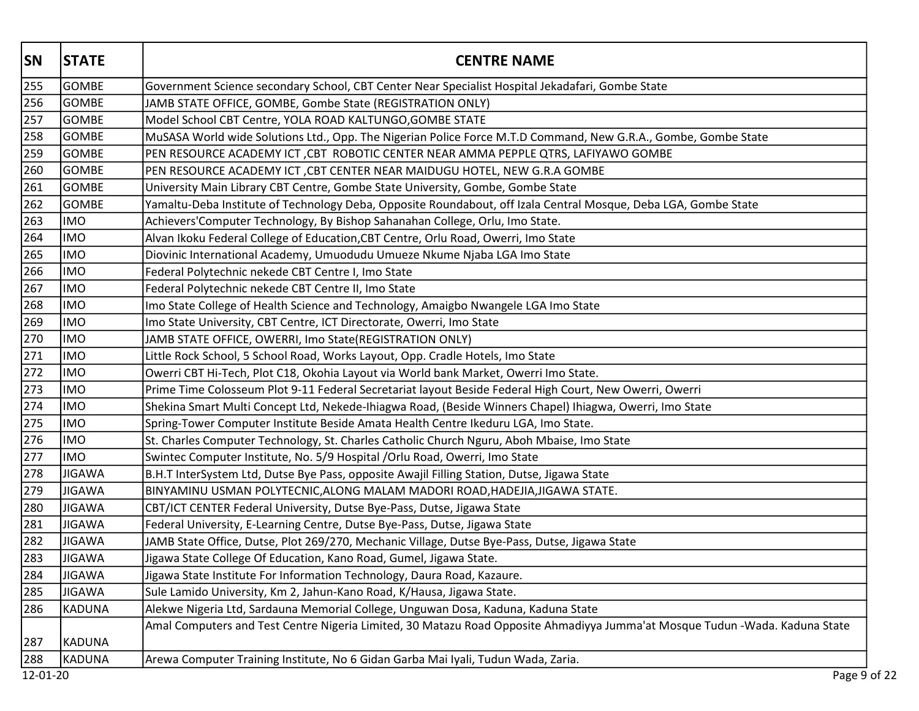| <b>SN</b> | <b>STATE</b>  | <b>CENTRE NAME</b>                                                                                                          |
|-----------|---------------|-----------------------------------------------------------------------------------------------------------------------------|
| 255       | <b>GOMBE</b>  | Government Science secondary School, CBT Center Near Specialist Hospital Jekadafari, Gombe State                            |
| 256       | <b>GOMBE</b>  | JAMB STATE OFFICE, GOMBE, Gombe State (REGISTRATION ONLY)                                                                   |
| 257       | <b>GOMBE</b>  | Model School CBT Centre, YOLA ROAD KALTUNGO, GOMBE STATE                                                                    |
| 258       | <b>GOMBE</b>  | MuSASA World wide Solutions Ltd., Opp. The Nigerian Police Force M.T.D Command, New G.R.A., Gombe, Gombe State              |
| 259       | GOMBE         | PEN RESOURCE ACADEMY ICT, CBT ROBOTIC CENTER NEAR AMMA PEPPLE QTRS, LAFIYAWO GOMBE                                          |
| 260       | <b>GOMBE</b>  | PEN RESOURCE ACADEMY ICT, CBT CENTER NEAR MAIDUGU HOTEL, NEW G.R.A GOMBE                                                    |
| 261       | GOMBE         | University Main Library CBT Centre, Gombe State University, Gombe, Gombe State                                              |
| 262       | <b>GOMBE</b>  | Yamaltu-Deba Institute of Technology Deba, Opposite Roundabout, off Izala Central Mosque, Deba LGA, Gombe State             |
| 263       | <b>IMO</b>    | Achievers'Computer Technology, By Bishop Sahanahan College, Orlu, Imo State.                                                |
| 264       | <b>IMO</b>    | Alvan Ikoku Federal College of Education, CBT Centre, Orlu Road, Owerri, Imo State                                          |
| 265       | <b>IMO</b>    | Diovinic International Academy, Umuodudu Umueze Nkume Njaba LGA Imo State                                                   |
| 266       | <b>IMO</b>    | Federal Polytechnic nekede CBT Centre I, Imo State                                                                          |
| 267       | <b>IMO</b>    | Federal Polytechnic nekede CBT Centre II, Imo State                                                                         |
| 268       | <b>IMO</b>    | Imo State College of Health Science and Technology, Amaigbo Nwangele LGA Imo State                                          |
| 269       | <b>IMO</b>    | Imo State University, CBT Centre, ICT Directorate, Owerri, Imo State                                                        |
| 270       | <b>IMO</b>    | JAMB STATE OFFICE, OWERRI, Imo State(REGISTRATION ONLY)                                                                     |
| 271       | <b>IMO</b>    | Little Rock School, 5 School Road, Works Layout, Opp. Cradle Hotels, Imo State                                              |
| 272       | <b>IMO</b>    | Owerri CBT Hi-Tech, Plot C18, Okohia Layout via World bank Market, Owerri Imo State.                                        |
| 273       | <b>IMO</b>    | Prime Time Colosseum Plot 9-11 Federal Secretariat layout Beside Federal High Court, New Owerri, Owerri                     |
| 274       | <b>IMO</b>    | Shekina Smart Multi Concept Ltd, Nekede-Ihiagwa Road, (Beside Winners Chapel) Ihiagwa, Owerri, Imo State                    |
| 275       | <b>IMO</b>    | Spring-Tower Computer Institute Beside Amata Health Centre Ikeduru LGA, Imo State.                                          |
| 276       | <b>IMO</b>    | St. Charles Computer Technology, St. Charles Catholic Church Nguru, Aboh Mbaise, Imo State                                  |
| 277       | <b>IMO</b>    | Swintec Computer Institute, No. 5/9 Hospital / Orlu Road, Owerri, Imo State                                                 |
| 278       | <b>JIGAWA</b> | B.H.T InterSystem Ltd, Dutse Bye Pass, opposite Awajil Filling Station, Dutse, Jigawa State                                 |
| 279       | <b>JIGAWA</b> | BINYAMINU USMAN POLYTECNIC, ALONG MALAM MADORI ROAD, HADEJIA, JIGAWA STATE.                                                 |
| 280       | <b>JIGAWA</b> | CBT/ICT CENTER Federal University, Dutse Bye-Pass, Dutse, Jigawa State                                                      |
| 281       | <b>JIGAWA</b> | Federal University, E-Learning Centre, Dutse Bye-Pass, Dutse, Jigawa State                                                  |
| 282       | JIGAWA        | JAMB State Office, Dutse, Plot 269/270, Mechanic Village, Dutse Bye-Pass, Dutse, Jigawa State                               |
| 283       | JIGAWA        | Jigawa State College Of Education, Kano Road, Gumel, Jigawa State.                                                          |
| 284       | <b>JIGAWA</b> | Jigawa State Institute For Information Technology, Daura Road, Kazaure.                                                     |
| 285       | <b>JIGAWA</b> | Sule Lamido University, Km 2, Jahun-Kano Road, K/Hausa, Jigawa State.                                                       |
| 286       | KADUNA        | Alekwe Nigeria Ltd, Sardauna Memorial College, Unguwan Dosa, Kaduna, Kaduna State                                           |
| 287       | KADUNA        | Amal Computers and Test Centre Nigeria Limited, 30 Matazu Road Opposite Ahmadiyya Jumma'at Mosque Tudun -Wada. Kaduna State |
| 288       | KADUNA        | Arewa Computer Training Institute, No 6 Gidan Garba Mai Iyali, Tudun Wada, Zaria.                                           |
| 12-01-20  |               | Page 9 of 22                                                                                                                |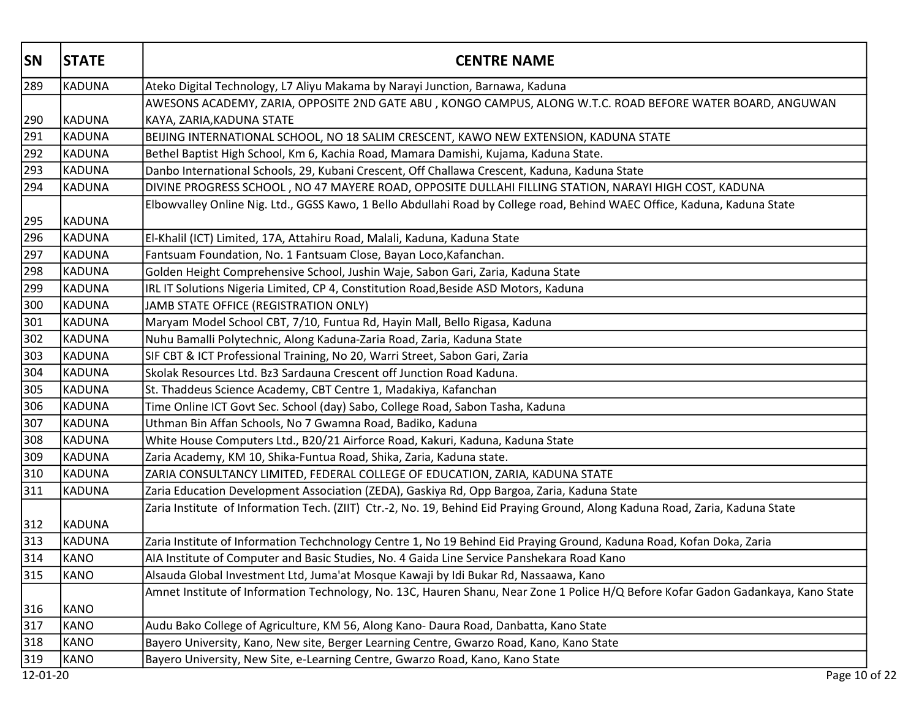| <b>SN</b> | <b>STATE</b> | <b>CENTRE NAME</b>                                                                                                                |
|-----------|--------------|-----------------------------------------------------------------------------------------------------------------------------------|
| 289       | KADUNA       | Ateko Digital Technology, L7 Aliyu Makama by Narayi Junction, Barnawa, Kaduna                                                     |
|           |              | AWESONS ACADEMY, ZARIA, OPPOSITE 2ND GATE ABU, KONGO CAMPUS, ALONG W.T.C. ROAD BEFORE WATER BOARD, ANGUWAN                        |
| 290       | KADUNA       | KAYA, ZARIA, KADUNA STATE                                                                                                         |
| 291       | KADUNA       | BEIJING INTERNATIONAL SCHOOL, NO 18 SALIM CRESCENT, KAWO NEW EXTENSION, KADUNA STATE                                              |
| 292       | KADUNA       | Bethel Baptist High School, Km 6, Kachia Road, Mamara Damishi, Kujama, Kaduna State.                                              |
| 293       | KADUNA       | Danbo International Schools, 29, Kubani Crescent, Off Challawa Crescent, Kaduna, Kaduna State                                     |
| 294       | KADUNA       | DIVINE PROGRESS SCHOOL, NO 47 MAYERE ROAD, OPPOSITE DULLAHI FILLING STATION, NARAYI HIGH COST, KADUNA                             |
| 295       | KADUNA       | Elbowvalley Online Nig. Ltd., GGSS Kawo, 1 Bello Abdullahi Road by College road, Behind WAEC Office, Kaduna, Kaduna State         |
| 296       | KADUNA       | El-Khalil (ICT) Limited, 17A, Attahiru Road, Malali, Kaduna, Kaduna State                                                         |
| 297       | KADUNA       | Fantsuam Foundation, No. 1 Fantsuam Close, Bayan Loco, Kafanchan.                                                                 |
| 298       | KADUNA       | Golden Height Comprehensive School, Jushin Waje, Sabon Gari, Zaria, Kaduna State                                                  |
| 299       | KADUNA       | IRL IT Solutions Nigeria Limited, CP 4, Constitution Road, Beside ASD Motors, Kaduna                                              |
| 300       | KADUNA       | JAMB STATE OFFICE (REGISTRATION ONLY)                                                                                             |
| 301       | KADUNA       | Maryam Model School CBT, 7/10, Funtua Rd, Hayin Mall, Bello Rigasa, Kaduna                                                        |
| 302       | KADUNA       | Nuhu Bamalli Polytechnic, Along Kaduna-Zaria Road, Zaria, Kaduna State                                                            |
| 303       | KADUNA       | SIF CBT & ICT Professional Training, No 20, Warri Street, Sabon Gari, Zaria                                                       |
| 304       | KADUNA       | Skolak Resources Ltd. Bz3 Sardauna Crescent off Junction Road Kaduna.                                                             |
| 305       | KADUNA       | St. Thaddeus Science Academy, CBT Centre 1, Madakiya, Kafanchan                                                                   |
| 306       | KADUNA       | Time Online ICT Govt Sec. School (day) Sabo, College Road, Sabon Tasha, Kaduna                                                    |
| 307       | KADUNA       | Uthman Bin Affan Schools, No 7 Gwamna Road, Badiko, Kaduna                                                                        |
| 308       | KADUNA       | White House Computers Ltd., B20/21 Airforce Road, Kakuri, Kaduna, Kaduna State                                                    |
| 309       | KADUNA       | Zaria Academy, KM 10, Shika-Funtua Road, Shika, Zaria, Kaduna state.                                                              |
| 310       | KADUNA       | ZARIA CONSULTANCY LIMITED, FEDERAL COLLEGE OF EDUCATION, ZARIA, KADUNA STATE                                                      |
| 311       | KADUNA       | Zaria Education Development Association (ZEDA), Gaskiya Rd, Opp Bargoa, Zaria, Kaduna State                                       |
| 312       | KADUNA       | Zaria Institute of Information Tech. (ZIIT) Ctr.-2, No. 19, Behind Eid Praying Ground, Along Kaduna Road, Zaria, Kaduna State     |
| 313       | KADUNA       | Zaria Institute of Information Techchnology Centre 1, No 19 Behind Eid Praying Ground, Kaduna Road, Kofan Doka, Zaria             |
| 314       | KANO         | AIA Institute of Computer and Basic Studies, No. 4 Gaida Line Service Panshekara Road Kano                                        |
| 315       | KANO         | Alsauda Global Investment Ltd, Juma'at Mosque Kawaji by Idi Bukar Rd, Nassaawa, Kano                                              |
| 316       | KANO         | Amnet Institute of Information Technology, No. 13C, Hauren Shanu, Near Zone 1 Police H/Q Before Kofar Gadon Gadankaya, Kano State |
| 317       | KANO         | Audu Bako College of Agriculture, KM 56, Along Kano-Daura Road, Danbatta, Kano State                                              |
| 318       | KANO         | Bayero University, Kano, New site, Berger Learning Centre, Gwarzo Road, Kano, Kano State                                          |
| 319       | <b>KANO</b>  | Bayero University, New Site, e-Learning Centre, Gwarzo Road, Kano, Kano State                                                     |
| 12-01-20  |              | Page 10 of 22                                                                                                                     |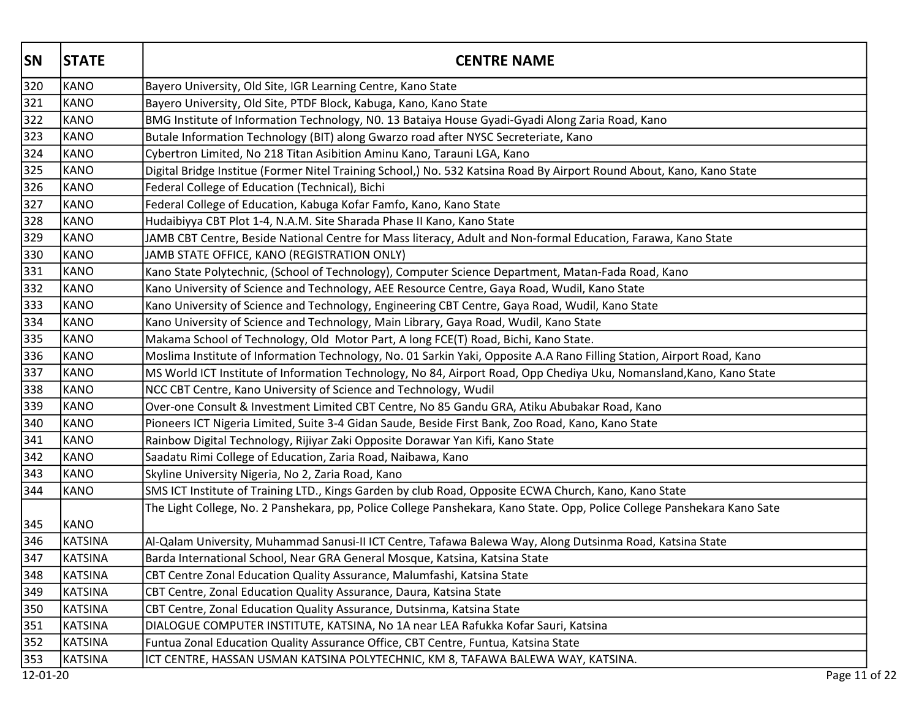| <b>SN</b> | <b>STATE</b>   | <b>CENTRE NAME</b>                                                                                                       |
|-----------|----------------|--------------------------------------------------------------------------------------------------------------------------|
| 320       | KANO           | Bayero University, Old Site, IGR Learning Centre, Kano State                                                             |
| 321       | KANO           | Bayero University, Old Site, PTDF Block, Kabuga, Kano, Kano State                                                        |
| 322       | KANO           | BMG Institute of Information Technology, N0. 13 Bataiya House Gyadi-Gyadi Along Zaria Road, Kano                         |
| 323       | KANO           | Butale Information Technology (BIT) along Gwarzo road after NYSC Secreteriate, Kano                                      |
| 324       | KANO           | Cybertron Limited, No 218 Titan Asibition Aminu Kano, Tarauni LGA, Kano                                                  |
| 325       | KANO           | Digital Bridge Institue (Former Nitel Training School,) No. 532 Katsina Road By Airport Round About, Kano, Kano State    |
| 326       | KANO           | Federal College of Education (Technical), Bichi                                                                          |
| 327       | KANO           | Federal College of Education, Kabuga Kofar Famfo, Kano, Kano State                                                       |
| 328       | KANO           | Hudaibiyya CBT Plot 1-4, N.A.M. Site Sharada Phase II Kano, Kano State                                                   |
| 329       | KANO           | JAMB CBT Centre, Beside National Centre for Mass literacy, Adult and Non-formal Education, Farawa, Kano State            |
| 330       | KANO           | JAMB STATE OFFICE, KANO (REGISTRATION ONLY)                                                                              |
| 331       | KANO           | Kano State Polytechnic, (School of Technology), Computer Science Department, Matan-Fada Road, Kano                       |
| 332       | KANO           | Kano University of Science and Technology, AEE Resource Centre, Gaya Road, Wudil, Kano State                             |
| 333       | KANO           | Kano University of Science and Technology, Engineering CBT Centre, Gaya Road, Wudil, Kano State                          |
| 334       | KANO           | Kano University of Science and Technology, Main Library, Gaya Road, Wudil, Kano State                                    |
| 335       | KANO           | Makama School of Technology, Old Motor Part, A long FCE(T) Road, Bichi, Kano State.                                      |
| 336       | KANO           | Moslima Institute of Information Technology, No. 01 Sarkin Yaki, Opposite A.A Rano Filling Station, Airport Road, Kano   |
| 337       | KANO           | MS World ICT Institute of Information Technology, No 84, Airport Road, Opp Chediya Uku, Nomansland, Kano, Kano State     |
| 338       | KANO           | NCC CBT Centre, Kano University of Science and Technology, Wudil                                                         |
| 339       | KANO           | Over-one Consult & Investment Limited CBT Centre, No 85 Gandu GRA, Atiku Abubakar Road, Kano                             |
| 340       | KANO           | Pioneers ICT Nigeria Limited, Suite 3-4 Gidan Saude, Beside First Bank, Zoo Road, Kano, Kano State                       |
| 341       | KANO           | Rainbow Digital Technology, Rijiyar Zaki Opposite Dorawar Yan Kifi, Kano State                                           |
| 342       | KANO           | Saadatu Rimi College of Education, Zaria Road, Naibawa, Kano                                                             |
| 343       | <b>KANO</b>    | Skyline University Nigeria, No 2, Zaria Road, Kano                                                                       |
| 344       | KANO           | SMS ICT Institute of Training LTD., Kings Garden by club Road, Opposite ECWA Church, Kano, Kano State                    |
| 345       | KANO           | The Light College, No. 2 Panshekara, pp, Police College Panshekara, Kano State. Opp, Police College Panshekara Kano Sate |
| 346       | KATSINA        | Al-Qalam University, Muhammad Sanusi-II ICT Centre, Tafawa Balewa Way, Along Dutsinma Road, Katsina State                |
| 347       | KATSINA        | Barda International School, Near GRA General Mosque, Katsina, Katsina State                                              |
| 348       | KATSINA        | CBT Centre Zonal Education Quality Assurance, Malumfashi, Katsina State                                                  |
| 349       | <b>KATSINA</b> | CBT Centre, Zonal Education Quality Assurance, Daura, Katsina State                                                      |
| 350       | KATSINA        | CBT Centre, Zonal Education Quality Assurance, Dutsinma, Katsina State                                                   |
| 351       | KATSINA        | DIALOGUE COMPUTER INSTITUTE, KATSINA, No 1A near LEA Rafukka Kofar Sauri, Katsina                                        |
| 352       | <b>KATSINA</b> | Funtua Zonal Education Quality Assurance Office, CBT Centre, Funtua, Katsina State                                       |
| 353       | KATSINA        | ICT CENTRE, HASSAN USMAN KATSINA POLYTECHNIC, KM 8, TAFAWA BALEWA WAY, KATSINA.                                          |
| 12-01-20  |                | Page 11 of 22                                                                                                            |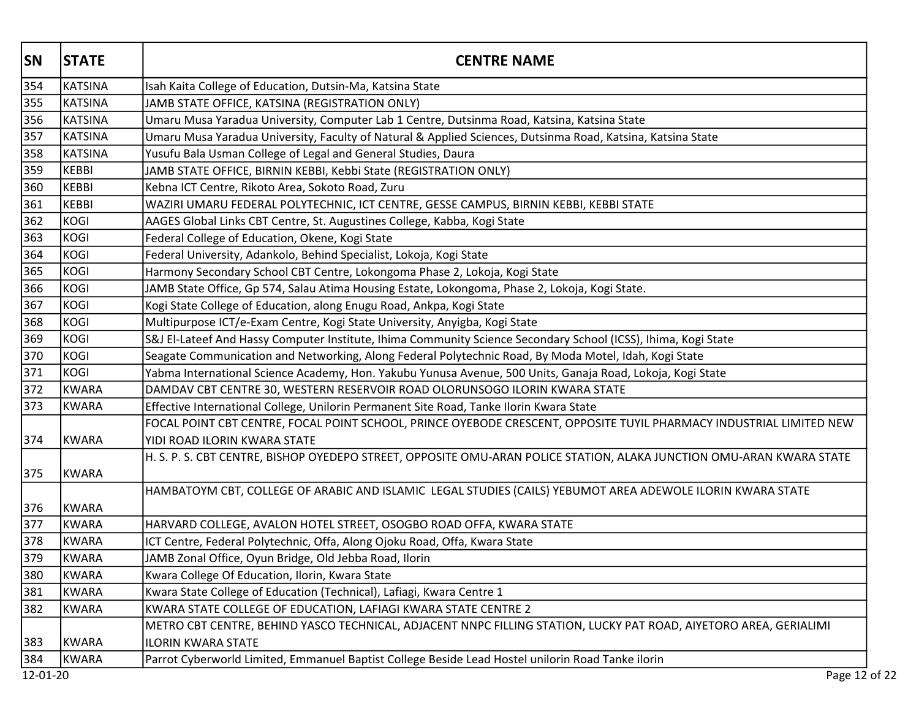| <b>SN</b> | <b>STATE</b>   | <b>CENTRE NAME</b>                                                                                                                                  |
|-----------|----------------|-----------------------------------------------------------------------------------------------------------------------------------------------------|
| 354       | KATSINA        | Isah Kaita College of Education, Dutsin-Ma, Katsina State                                                                                           |
| 355       | KATSINA        | JAMB STATE OFFICE, KATSINA (REGISTRATION ONLY)                                                                                                      |
| 356       | KATSINA        | Umaru Musa Yaradua University, Computer Lab 1 Centre, Dutsinma Road, Katsina, Katsina State                                                         |
| 357       | KATSINA        | Umaru Musa Yaradua University, Faculty of Natural & Applied Sciences, Dutsinma Road, Katsina, Katsina State                                         |
| 358       | <b>KATSINA</b> | Yusufu Bala Usman College of Legal and General Studies, Daura                                                                                       |
| 359       | <b>KEBBI</b>   | JAMB STATE OFFICE, BIRNIN KEBBI, Kebbi State (REGISTRATION ONLY)                                                                                    |
| 360       | KEBBI          | Kebna ICT Centre, Rikoto Area, Sokoto Road, Zuru                                                                                                    |
| 361       | KEBBI          | WAZIRI UMARU FEDERAL POLYTECHNIC, ICT CENTRE, GESSE CAMPUS, BIRNIN KEBBI, KEBBI STATE                                                               |
| 362       | KOGI           | AAGES Global Links CBT Centre, St. Augustines College, Kabba, Kogi State                                                                            |
| 363       | KOGI           | Federal College of Education, Okene, Kogi State                                                                                                     |
| 364       | KOGI           | Federal University, Adankolo, Behind Specialist, Lokoja, Kogi State                                                                                 |
| 365       | KOGI           | Harmony Secondary School CBT Centre, Lokongoma Phase 2, Lokoja, Kogi State                                                                          |
| 366       | KOGI           | JAMB State Office, Gp 574, Salau Atima Housing Estate, Lokongoma, Phase 2, Lokoja, Kogi State.                                                      |
| 367       | KOGI           | Kogi State College of Education, along Enugu Road, Ankpa, Kogi State                                                                                |
| 368       | KOGI           | Multipurpose ICT/e-Exam Centre, Kogi State University, Anyigba, Kogi State                                                                          |
| 369       | KOGI           | S&J El-Lateef And Hassy Computer Institute, Ihima Community Science Secondary School (ICSS), Ihima, Kogi State                                      |
| 370       | KOGI           | Seagate Communication and Networking, Along Federal Polytechnic Road, By Moda Motel, Idah, Kogi State                                               |
| 371       | KOGI           | Yabma International Science Academy, Hon. Yakubu Yunusa Avenue, 500 Units, Ganaja Road, Lokoja, Kogi State                                          |
| 372       | KWARA          | DAMDAV CBT CENTRE 30, WESTERN RESERVOIR ROAD OLORUNSOGO ILORIN KWARA STATE                                                                          |
| 373       | KWARA          | Effective International College, Unilorin Permanent Site Road, Tanke Ilorin Kwara State                                                             |
| 374       | KWARA          | FOCAL POINT CBT CENTRE, FOCAL POINT SCHOOL, PRINCE OYEBODE CRESCENT, OPPOSITE TUYIL PHARMACY INDUSTRIAL LIMITED NEW<br>YIDI ROAD ILORIN KWARA STATE |
| 375       | KWARA          | H. S. P. S. CBT CENTRE, BISHOP OYEDEPO STREET, OPPOSITE OMU-ARAN POLICE STATION, ALAKA JUNCTION OMU-ARAN KWARA STATE                                |
| 376       | KWARA          | HAMBATOYM CBT, COLLEGE OF ARABIC AND ISLAMIC LEGAL STUDIES (CAILS) YEBUMOT AREA ADEWOLE ILORIN KWARA STATE                                          |
| 377       | KWARA          | HARVARD COLLEGE, AVALON HOTEL STREET, OSOGBO ROAD OFFA, KWARA STATE                                                                                 |
| 378       | KWARA          | ICT Centre, Federal Polytechnic, Offa, Along Ojoku Road, Offa, Kwara State                                                                          |
| 379       | KWARA          | JAMB Zonal Office, Oyun Bridge, Old Jebba Road, Ilorin                                                                                              |
| 380       | KWARA          | Kwara College Of Education, Ilorin, Kwara State                                                                                                     |
| 381       | <b>KWARA</b>   | Kwara State College of Education (Technical), Lafiagi, Kwara Centre 1                                                                               |
| 382       | KWARA          | KWARA STATE COLLEGE OF EDUCATION, LAFIAGI KWARA STATE CENTRE 2                                                                                      |
|           |                | METRO CBT CENTRE, BEHIND YASCO TECHNICAL, ADJACENT NNPC FILLING STATION, LUCKY PAT ROAD, AIYETORO AREA, GERIALIMI                                   |
| 383       | KWARA          | <b>ILORIN KWARA STATE</b>                                                                                                                           |
| 384       | <b>KWARA</b>   | Parrot Cyberworld Limited, Emmanuel Baptist College Beside Lead Hostel unilorin Road Tanke ilorin                                                   |
| 12-01-20  |                | Page 12 of 22                                                                                                                                       |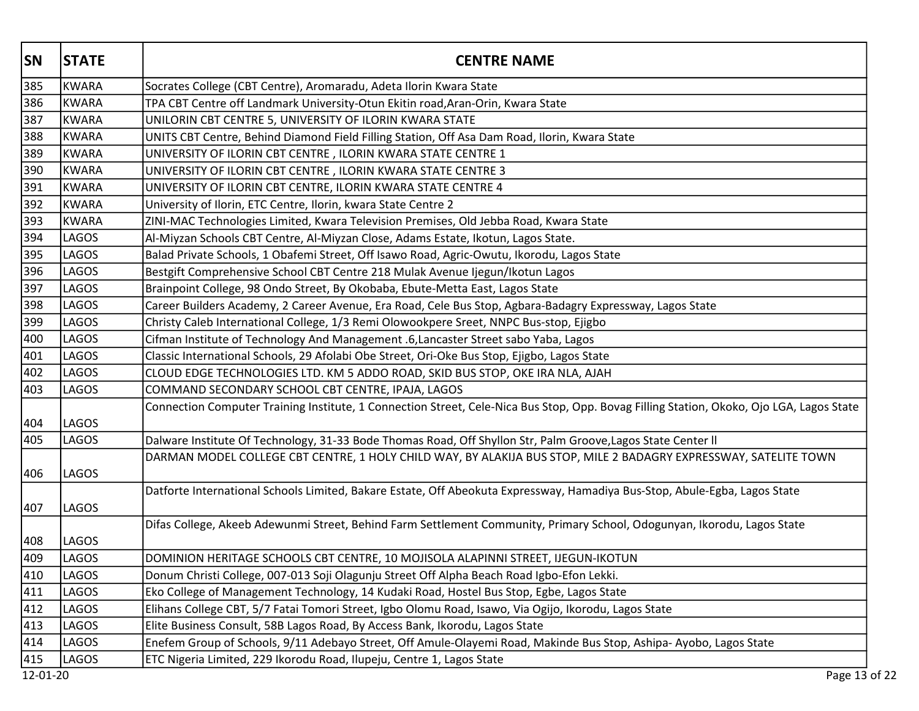| <b>SN</b> | <b>STATE</b> | <b>CENTRE NAME</b>                                                                                                                       |
|-----------|--------------|------------------------------------------------------------------------------------------------------------------------------------------|
| 385       | KWARA        | Socrates College (CBT Centre), Aromaradu, Adeta Ilorin Kwara State                                                                       |
| 386       | KWARA        | TPA CBT Centre off Landmark University-Otun Ekitin road, Aran-Orin, Kwara State                                                          |
| 387       | KWARA        | UNILORIN CBT CENTRE 5, UNIVERSITY OF ILORIN KWARA STATE                                                                                  |
| 388       | KWARA        | UNITS CBT Centre, Behind Diamond Field Filling Station, Off Asa Dam Road, Ilorin, Kwara State                                            |
| 389       | <b>KWARA</b> | UNIVERSITY OF ILORIN CBT CENTRE, ILORIN KWARA STATE CENTRE 1                                                                             |
| 390       | KWARA        | UNIVERSITY OF ILORIN CBT CENTRE, ILORIN KWARA STATE CENTRE 3                                                                             |
| 391       | KWARA        | UNIVERSITY OF ILORIN CBT CENTRE, ILORIN KWARA STATE CENTRE 4                                                                             |
| 392       | KWARA        | University of Ilorin, ETC Centre, Ilorin, kwara State Centre 2                                                                           |
| 393       | KWARA        | ZINI-MAC Technologies Limited, Kwara Television Premises, Old Jebba Road, Kwara State                                                    |
| 394       | LAGOS        | Al-Miyzan Schools CBT Centre, Al-Miyzan Close, Adams Estate, Ikotun, Lagos State.                                                        |
| 395       | <b>LAGOS</b> | Balad Private Schools, 1 Obafemi Street, Off Isawo Road, Agric-Owutu, Ikorodu, Lagos State                                               |
| 396       | LAGOS        | Bestgift Comprehensive School CBT Centre 218 Mulak Avenue Ijegun/Ikotun Lagos                                                            |
| 397       | LAGOS        | Brainpoint College, 98 Ondo Street, By Okobaba, Ebute-Metta East, Lagos State                                                            |
| 398       | LAGOS        | Career Builders Academy, 2 Career Avenue, Era Road, Cele Bus Stop, Agbara-Badagry Expressway, Lagos State                                |
| 399       | LAGOS        | Christy Caleb International College, 1/3 Remi Olowookpere Sreet, NNPC Bus-stop, Ejigbo                                                   |
| 400       | LAGOS        | Cifman Institute of Technology And Management .6, Lancaster Street sabo Yaba, Lagos                                                      |
| 401       | LAGOS        | Classic International Schools, 29 Afolabi Obe Street, Ori-Oke Bus Stop, Ejigbo, Lagos State                                              |
| 402       | LAGOS        | CLOUD EDGE TECHNOLOGIES LTD. KM 5 ADDO ROAD, SKID BUS STOP, OKE IRA NLA, AJAH                                                            |
| 403       | LAGOS        | COMMAND SECONDARY SCHOOL CBT CENTRE, IPAJA, LAGOS                                                                                        |
| 404       | LAGOS        | Connection Computer Training Institute, 1 Connection Street, Cele-Nica Bus Stop, Opp. Bovag Filling Station, Okoko, Ojo LGA, Lagos State |
| 405       | LAGOS        | Dalware Institute Of Technology, 31-33 Bode Thomas Road, Off Shyllon Str, Palm Groove, Lagos State Center II                             |
| 406       | LAGOS        | DARMAN MODEL COLLEGE CBT CENTRE, 1 HOLY CHILD WAY, BY ALAKIJA BUS STOP, MILE 2 BADAGRY EXPRESSWAY, SATELITE TOWN                         |
| 407       | LAGOS        | Datforte International Schools Limited, Bakare Estate, Off Abeokuta Expressway, Hamadiya Bus-Stop, Abule-Egba, Lagos State               |
| 408       | LAGOS        | Difas College, Akeeb Adewunmi Street, Behind Farm Settlement Community, Primary School, Odogunyan, Ikorodu, Lagos State                  |
| 409       | LAGOS        | DOMINION HERITAGE SCHOOLS CBT CENTRE, 10 MOJISOLA ALAPINNI STREET, IJEGUN-IKOTUN                                                         |
| 410       | LAGOS        | Donum Christi College, 007-013 Soji Olagunju Street Off Alpha Beach Road Igbo-Efon Lekki.                                                |
| 411       | LAGOS        | Eko College of Management Technology, 14 Kudaki Road, Hostel Bus Stop, Egbe, Lagos State                                                 |
| 412       | LAGOS        | Elihans College CBT, 5/7 Fatai Tomori Street, Igbo Olomu Road, Isawo, Via Ogijo, Ikorodu, Lagos State                                    |
| 413       | LAGOS        | Elite Business Consult, 58B Lagos Road, By Access Bank, Ikorodu, Lagos State                                                             |
| 414       | LAGOS        | Enefem Group of Schools, 9/11 Adebayo Street, Off Amule-Olayemi Road, Makinde Bus Stop, Ashipa- Ayobo, Lagos State                       |
| 415       | LAGOS        | ETC Nigeria Limited, 229 Ikorodu Road, Ilupeju, Centre 1, Lagos State                                                                    |
| 12-01-20  |              | Page 13 of 22                                                                                                                            |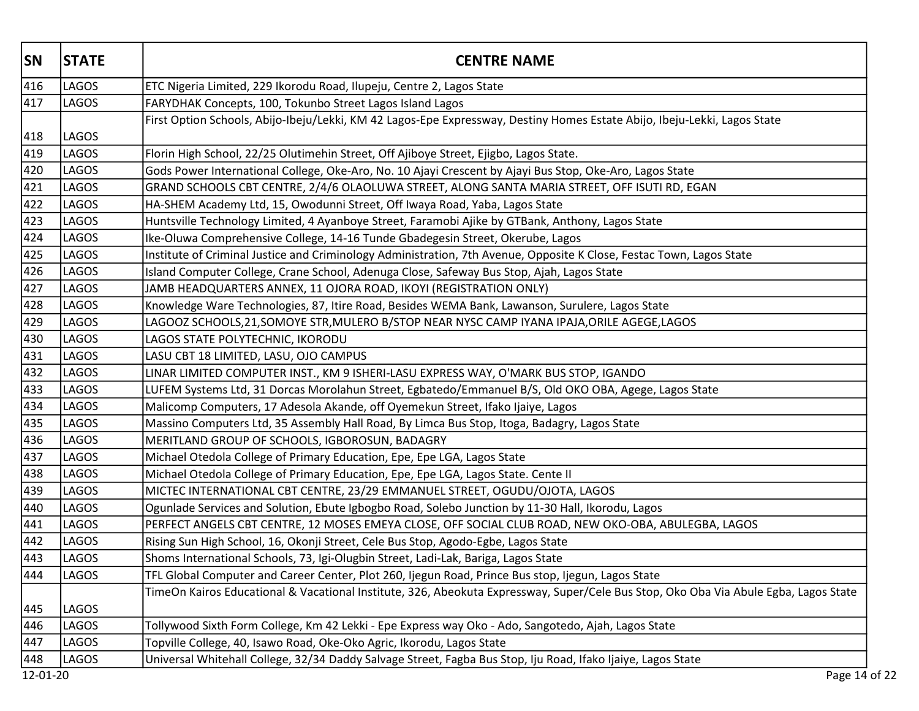| <b>SN</b> | <b>STATE</b> | <b>CENTRE NAME</b>                                                                                                                   |
|-----------|--------------|--------------------------------------------------------------------------------------------------------------------------------------|
| 416       | LAGOS        | ETC Nigeria Limited, 229 Ikorodu Road, Ilupeju, Centre 2, Lagos State                                                                |
| 417       | LAGOS        | FARYDHAK Concepts, 100, Tokunbo Street Lagos Island Lagos                                                                            |
|           |              | First Option Schools, Abijo-Ibeju/Lekki, KM 42 Lagos-Epe Expressway, Destiny Homes Estate Abijo, Ibeju-Lekki, Lagos State            |
| 418       | LAGOS        |                                                                                                                                      |
| 419       | LAGOS        | Florin High School, 22/25 Olutimehin Street, Off Ajiboye Street, Ejigbo, Lagos State.                                                |
| 420       | LAGOS        | Gods Power International College, Oke-Aro, No. 10 Ajayi Crescent by Ajayi Bus Stop, Oke-Aro, Lagos State                             |
| 421       | LAGOS        | GRAND SCHOOLS CBT CENTRE, 2/4/6 OLAOLUWA STREET, ALONG SANTA MARIA STREET, OFF ISUTI RD, EGAN                                        |
| 422       | <b>LAGOS</b> | HA-SHEM Academy Ltd, 15, Owodunni Street, Off Iwaya Road, Yaba, Lagos State                                                          |
| 423       | LAGOS        | Huntsville Technology Limited, 4 Ayanboye Street, Faramobi Ajike by GTBank, Anthony, Lagos State                                     |
| 424       | <b>LAGOS</b> | Ike-Oluwa Comprehensive College, 14-16 Tunde Gbadegesin Street, Okerube, Lagos                                                       |
| 425       | <b>LAGOS</b> | Institute of Criminal Justice and Criminology Administration, 7th Avenue, Opposite K Close, Festac Town, Lagos State                 |
| 426       | LAGOS        | Island Computer College, Crane School, Adenuga Close, Safeway Bus Stop, Ajah, Lagos State                                            |
| 427       | <b>LAGOS</b> | JAMB HEADQUARTERS ANNEX, 11 OJORA ROAD, IKOYI (REGISTRATION ONLY)                                                                    |
| 428       | LAGOS        | Knowledge Ware Technologies, 87, Itire Road, Besides WEMA Bank, Lawanson, Surulere, Lagos State                                      |
| 429       | <b>LAGOS</b> | LAGOOZ SCHOOLS,21,SOMOYE STR,MULERO B/STOP NEAR NYSC CAMP IYANA IPAJA,ORILE AGEGE,LAGOS                                              |
| 430       | LAGOS        | LAGOS STATE POLYTECHNIC, IKORODU                                                                                                     |
| 431       | LAGOS        | LASU CBT 18 LIMITED, LASU, OJO CAMPUS                                                                                                |
| 432       | LAGOS        | LINAR LIMITED COMPUTER INST., KM 9 ISHERI-LASU EXPRESS WAY, O'MARK BUS STOP, IGANDO                                                  |
| 433       | <b>LAGOS</b> | LUFEM Systems Ltd, 31 Dorcas Morolahun Street, Egbatedo/Emmanuel B/S, Old OKO OBA, Agege, Lagos State                                |
| 434       | <b>LAGOS</b> | Malicomp Computers, 17 Adesola Akande, off Oyemekun Street, Ifako Ijaiye, Lagos                                                      |
| 435       | LAGOS        | Massino Computers Ltd, 35 Assembly Hall Road, By Limca Bus Stop, Itoga, Badagry, Lagos State                                         |
| 436       | <b>LAGOS</b> | MERITLAND GROUP OF SCHOOLS, IGBOROSUN, BADAGRY                                                                                       |
| 437       | LAGOS        | Michael Otedola College of Primary Education, Epe, Epe LGA, Lagos State                                                              |
| 438       | LAGOS        | Michael Otedola College of Primary Education, Epe, Epe LGA, Lagos State. Cente II                                                    |
| 439       | LAGOS        | MICTEC INTERNATIONAL CBT CENTRE, 23/29 EMMANUEL STREET, OGUDU/OJOTA, LAGOS                                                           |
| 440       | LAGOS        | Ogunlade Services and Solution, Ebute Igbogbo Road, Solebo Junction by 11-30 Hall, Ikorodu, Lagos                                    |
| 441       | <b>LAGOS</b> | PERFECT ANGELS CBT CENTRE, 12 MOSES EMEYA CLOSE, OFF SOCIAL CLUB ROAD, NEW OKO-OBA, ABULEGBA, LAGOS                                  |
| 442       | LAGOS        | Rising Sun High School, 16, Okonji Street, Cele Bus Stop, Agodo-Egbe, Lagos State                                                    |
| 443       | LAGOS        | Shoms International Schools, 73, Igi-Olugbin Street, Ladi-Lak, Bariga, Lagos State                                                   |
| 444       | LAGOS        | TFL Global Computer and Career Center, Plot 260, Ijegun Road, Prince Bus stop, Ijegun, Lagos State                                   |
| 445       | LAGOS        | TimeOn Kairos Educational & Vacational Institute, 326, Abeokuta Expressway, Super/Cele Bus Stop, Oko Oba Via Abule Egba, Lagos State |
| 446       | LAGOS        | Tollywood Sixth Form College, Km 42 Lekki - Epe Express way Oko - Ado, Sangotedo, Ajah, Lagos State                                  |
| 447       | LAGOS        | Topville College, 40, Isawo Road, Oke-Oko Agric, Ikorodu, Lagos State                                                                |
| 448       | LAGOS        | Universal Whitehall College, 32/34 Daddy Salvage Street, Fagba Bus Stop, Iju Road, Ifako Ijaiye, Lagos State                         |
| 12-01-20  |              | Page 14 of 22                                                                                                                        |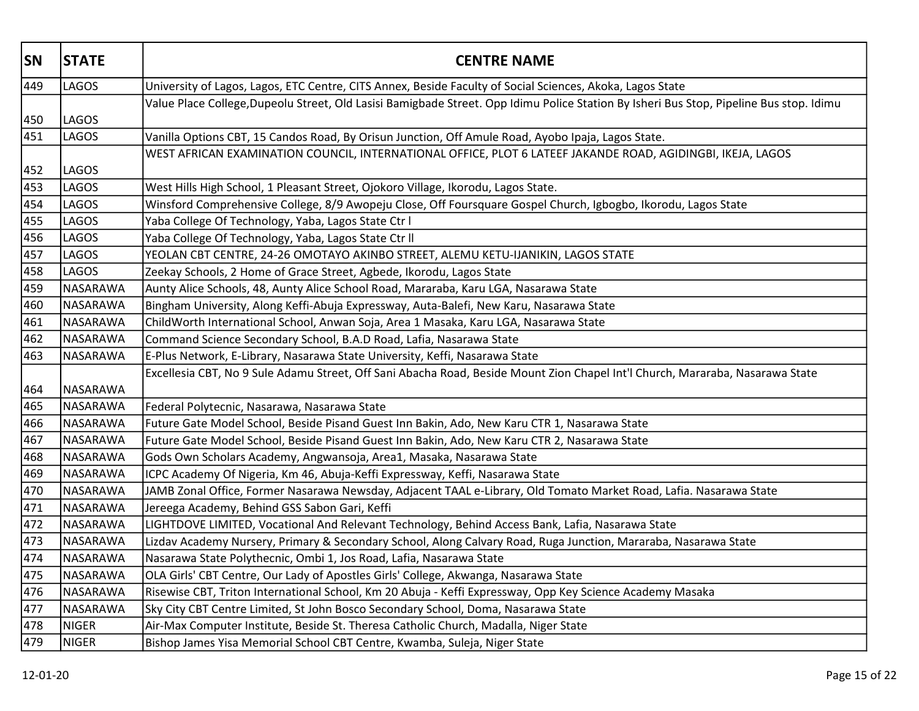| <b>SN</b> | <b>STATE</b>    | <b>CENTRE NAME</b>                                                                                                                     |
|-----------|-----------------|----------------------------------------------------------------------------------------------------------------------------------------|
| 449       | <b>LAGOS</b>    | University of Lagos, Lagos, ETC Centre, CITS Annex, Beside Faculty of Social Sciences, Akoka, Lagos State                              |
|           |                 | Value Place College,Dupeolu Street, Old Lasisi Bamigbade Street. Opp Idimu Police Station By Isheri Bus Stop, Pipeline Bus stop. Idimu |
| 450       | <b>LAGOS</b>    |                                                                                                                                        |
| 451       | LAGOS           | Vanilla Options CBT, 15 Candos Road, By Orisun Junction, Off Amule Road, Ayobo Ipaja, Lagos State.                                     |
|           |                 | WEST AFRICAN EXAMINATION COUNCIL, INTERNATIONAL OFFICE, PLOT 6 LATEEF JAKANDE ROAD, AGIDINGBI, IKEJA, LAGOS                            |
| 452       | LAGOS           |                                                                                                                                        |
| 453       | LAGOS           | West Hills High School, 1 Pleasant Street, Ojokoro Village, Ikorodu, Lagos State.                                                      |
| 454       | <b>LAGOS</b>    | Winsford Comprehensive College, 8/9 Awopeju Close, Off Foursquare Gospel Church, Igbogbo, Ikorodu, Lagos State                         |
| 455       | LAGOS           | Yaba College Of Technology, Yaba, Lagos State Ctr I                                                                                    |
| 456       | LAGOS           | Yaba College Of Technology, Yaba, Lagos State Ctr II                                                                                   |
| 457       | LAGOS           | YEOLAN CBT CENTRE, 24-26 OMOTAYO AKINBO STREET, ALEMU KETU-IJANIKIN, LAGOS STATE                                                       |
| 458       | LAGOS           | Zeekay Schools, 2 Home of Grace Street, Agbede, Ikorodu, Lagos State                                                                   |
| 459       | NASARAWA        | Aunty Alice Schools, 48, Aunty Alice School Road, Mararaba, Karu LGA, Nasarawa State                                                   |
| 460       | NASARAWA        | Bingham University, Along Keffi-Abuja Expressway, Auta-Balefi, New Karu, Nasarawa State                                                |
| 461       | NASARAWA        | ChildWorth International School, Anwan Soja, Area 1 Masaka, Karu LGA, Nasarawa State                                                   |
| 462       | NASARAWA        | Command Science Secondary School, B.A.D Road, Lafia, Nasarawa State                                                                    |
| 463       | NASARAWA        | E-Plus Network, E-Library, Nasarawa State University, Keffi, Nasarawa State                                                            |
|           |                 | Excellesia CBT, No 9 Sule Adamu Street, Off Sani Abacha Road, Beside Mount Zion Chapel Int'l Church, Mararaba, Nasarawa State          |
| 464       | NASARAWA        |                                                                                                                                        |
| 465       | <b>NASARAWA</b> | Federal Polytecnic, Nasarawa, Nasarawa State                                                                                           |
| 466       | NASARAWA        | Future Gate Model School, Beside Pisand Guest Inn Bakin, Ado, New Karu CTR 1, Nasarawa State                                           |
| 467       | NASARAWA        | Future Gate Model School, Beside Pisand Guest Inn Bakin, Ado, New Karu CTR 2, Nasarawa State                                           |
| 468       | NASARAWA        | Gods Own Scholars Academy, Angwansoja, Area1, Masaka, Nasarawa State                                                                   |
| 469       | NASARAWA        | ICPC Academy Of Nigeria, Km 46, Abuja-Keffi Expressway, Keffi, Nasarawa State                                                          |
| 470       | NASARAWA        | JAMB Zonal Office, Former Nasarawa Newsday, Adjacent TAAL e-Library, Old Tomato Market Road, Lafia. Nasarawa State                     |
| 471       | NASARAWA        | Jereega Academy, Behind GSS Sabon Gari, Keffi                                                                                          |
| 472       | NASARAWA        | LIGHTDOVE LIMITED, Vocational And Relevant Technology, Behind Access Bank, Lafia, Nasarawa State                                       |
| 473       | NASARAWA        | Lizdav Academy Nursery, Primary & Secondary School, Along Calvary Road, Ruga Junction, Mararaba, Nasarawa State                        |
| 474       | NASARAWA        | Nasarawa State Polythecnic, Ombi 1, Jos Road, Lafia, Nasarawa State                                                                    |
| 475       | <b>NASARAWA</b> | OLA Girls' CBT Centre, Our Lady of Apostles Girls' College, Akwanga, Nasarawa State                                                    |
| 476       | NASARAWA        | Risewise CBT, Triton International School, Km 20 Abuja - Keffi Expressway, Opp Key Science Academy Masaka                              |
| 477       | NASARAWA        | Sky City CBT Centre Limited, St John Bosco Secondary School, Doma, Nasarawa State                                                      |
| 478       | <b>NIGER</b>    | Air-Max Computer Institute, Beside St. Theresa Catholic Church, Madalla, Niger State                                                   |
| 479       | <b>NIGER</b>    | Bishop James Yisa Memorial School CBT Centre, Kwamba, Suleja, Niger State                                                              |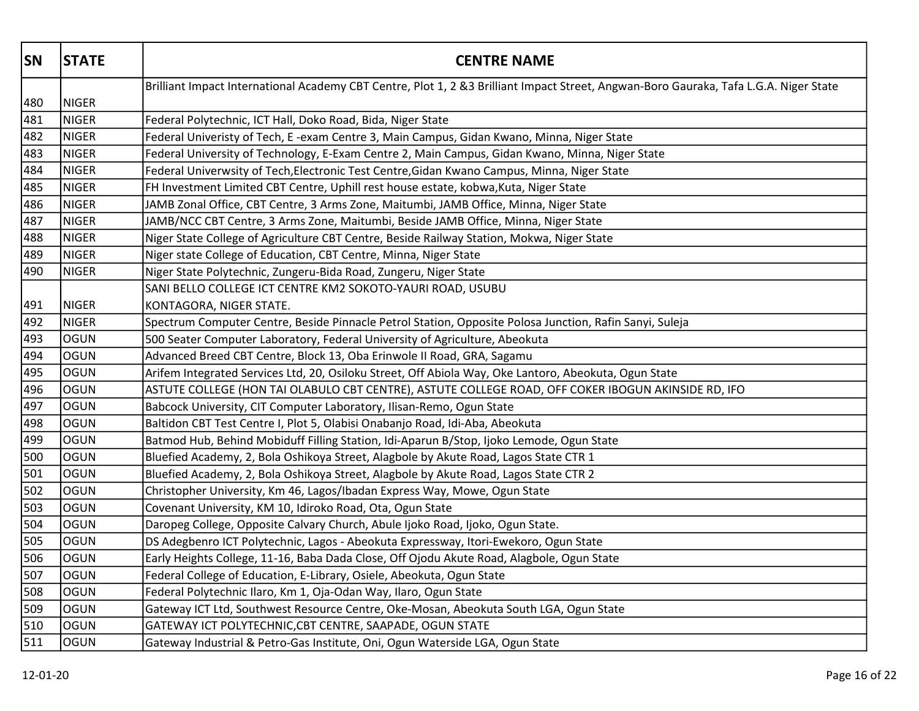| <b>SN</b> | <b>STATE</b> | <b>CENTRE NAME</b>                                                                                                                    |
|-----------|--------------|---------------------------------------------------------------------------------------------------------------------------------------|
|           |              | Brilliant Impact International Academy CBT Centre, Plot 1, 2 &3 Brilliant Impact Street, Angwan-Boro Gauraka, Tafa L.G.A. Niger State |
| 480       | NIGER        |                                                                                                                                       |
| 481       | NIGER        | Federal Polytechnic, ICT Hall, Doko Road, Bida, Niger State                                                                           |
| 482       | NIGER        | Federal Univeristy of Tech, E -exam Centre 3, Main Campus, Gidan Kwano, Minna, Niger State                                            |
| 483       | NIGER        | Federal University of Technology, E-Exam Centre 2, Main Campus, Gidan Kwano, Minna, Niger State                                       |
| 484       | <b>NIGER</b> | Federal Univerwsity of Tech, Electronic Test Centre, Gidan Kwano Campus, Minna, Niger State                                           |
| 485       | <b>NIGER</b> | FH Investment Limited CBT Centre, Uphill rest house estate, kobwa, Kuta, Niger State                                                  |
| 486       | <b>NIGER</b> | JAMB Zonal Office, CBT Centre, 3 Arms Zone, Maitumbi, JAMB Office, Minna, Niger State                                                 |
| 487       | NIGER        | JAMB/NCC CBT Centre, 3 Arms Zone, Maitumbi, Beside JAMB Office, Minna, Niger State                                                    |
| 488       | NIGER        | Niger State College of Agriculture CBT Centre, Beside Railway Station, Mokwa, Niger State                                             |
| 489       | NIGER        | Niger state College of Education, CBT Centre, Minna, Niger State                                                                      |
| 490       | NIGER        | Niger State Polytechnic, Zungeru-Bida Road, Zungeru, Niger State                                                                      |
|           |              | SANI BELLO COLLEGE ICT CENTRE KM2 SOKOTO-YAURI ROAD, USUBU                                                                            |
| 491       | NIGER        | KONTAGORA, NIGER STATE.                                                                                                               |
| 492       | NIGER        | Spectrum Computer Centre, Beside Pinnacle Petrol Station, Opposite Polosa Junction, Rafin Sanyi, Suleja                               |
| 493       | OGUN         | 500 Seater Computer Laboratory, Federal University of Agriculture, Abeokuta                                                           |
| 494       | <b>OGUN</b>  | Advanced Breed CBT Centre, Block 13, Oba Erinwole II Road, GRA, Sagamu                                                                |
| 495       | OGUN         | Arifem Integrated Services Ltd, 20, Osiloku Street, Off Abiola Way, Oke Lantoro, Abeokuta, Ogun State                                 |
| 496       | OGUN         | ASTUTE COLLEGE (HON TAI OLABULO CBT CENTRE), ASTUTE COLLEGE ROAD, OFF COKER IBOGUN AKINSIDE RD, IFO                                   |
| 497       | OGUN         | Babcock University, CIT Computer Laboratory, Ilisan-Remo, Ogun State                                                                  |
| 498       | logun        | Baltidon CBT Test Centre I, Plot 5, Olabisi Onabanjo Road, Idi-Aba, Abeokuta                                                          |
| 499       | OGUN         | Batmod Hub, Behind Mobiduff Filling Station, Idi-Aparun B/Stop, Ijoko Lemode, Ogun State                                              |
| 500       | OGUN         | Bluefied Academy, 2, Bola Oshikoya Street, Alagbole by Akute Road, Lagos State CTR 1                                                  |
| 501       | OGUN         | Bluefied Academy, 2, Bola Oshikoya Street, Alagbole by Akute Road, Lagos State CTR 2                                                  |
| 502       | logun        | Christopher University, Km 46, Lagos/Ibadan Express Way, Mowe, Ogun State                                                             |
| 503       | OGUN         | Covenant University, KM 10, Idiroko Road, Ota, Ogun State                                                                             |
| 504       | OGUN         | Daropeg College, Opposite Calvary Church, Abule Ijoko Road, Ijoko, Ogun State.                                                        |
| 505       | OGUN         | DS Adegbenro ICT Polytechnic, Lagos - Abeokuta Expressway, Itori-Ewekoro, Ogun State                                                  |
| 506       | <b>OGUN</b>  | Early Heights College, 11-16, Baba Dada Close, Off Ojodu Akute Road, Alagbole, Ogun State                                             |
| 507       | OGUN         | Federal College of Education, E-Library, Osiele, Abeokuta, Ogun State                                                                 |
| 508       | OGUN         | Federal Polytechnic Ilaro, Km 1, Oja-Odan Way, Ilaro, Ogun State                                                                      |
| 509       | OGUN         | Gateway ICT Ltd, Southwest Resource Centre, Oke-Mosan, Abeokuta South LGA, Ogun State                                                 |
| 510       | OGUN         | GATEWAY ICT POLYTECHNIC, CBT CENTRE, SAAPADE, OGUN STATE                                                                              |
| 511       | OGUN         | Gateway Industrial & Petro-Gas Institute, Oni, Ogun Waterside LGA, Ogun State                                                         |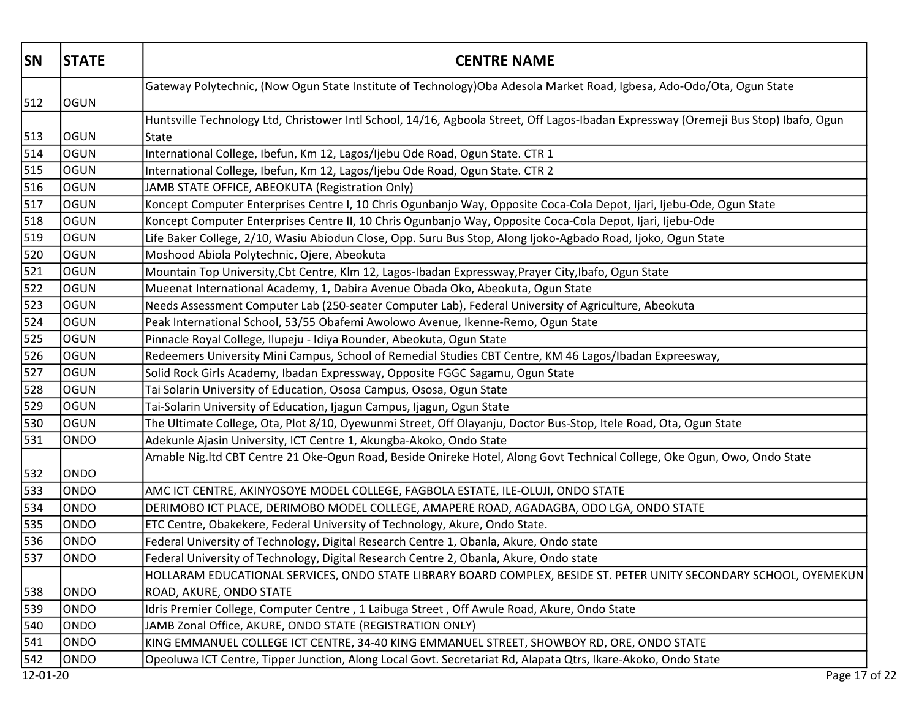| <b>SN</b>        | <b>STATE</b> | <b>CENTRE NAME</b>                                                                                                                   |
|------------------|--------------|--------------------------------------------------------------------------------------------------------------------------------------|
| 512              | <b>OGUN</b>  | Gateway Polytechnic, (Now Ogun State Institute of Technology)Oba Adesola Market Road, Igbesa, Ado-Odo/Ota, Ogun State                |
|                  |              | Huntsville Technology Ltd, Christower Intl School, 14/16, Agboola Street, Off Lagos-Ibadan Expressway (Oremeji Bus Stop) Ibafo, Ogun |
| 513              | <b>OGUN</b>  | State                                                                                                                                |
| 514              | OGUN         | International College, Ibefun, Km 12, Lagos/Ijebu Ode Road, Ogun State. CTR 1                                                        |
| 515              | logun        | International College, Ibefun, Km 12, Lagos/Ijebu Ode Road, Ogun State. CTR 2                                                        |
| 516              | OGUN         | JAMB STATE OFFICE, ABEOKUTA (Registration Only)                                                                                      |
| 517              | OGUN         | Koncept Computer Enterprises Centre I, 10 Chris Ogunbanjo Way, Opposite Coca-Cola Depot, Ijari, Ijebu-Ode, Ogun State                |
| 518              | OGUN         | Koncept Computer Enterprises Centre II, 10 Chris Ogunbanjo Way, Opposite Coca-Cola Depot, Ijari, Ijebu-Ode                           |
| 519              | OGUN         | Life Baker College, 2/10, Wasiu Abiodun Close, Opp. Suru Bus Stop, Along Ijoko-Agbado Road, Ijoko, Ogun State                        |
| 520              | <b>OGUN</b>  | Moshood Abiola Polytechnic, Ojere, Abeokuta                                                                                          |
| 521              | <b>OGUN</b>  | Mountain Top University, Cbt Centre, Klm 12, Lagos-Ibadan Expressway, Prayer City, Ibafo, Ogun State                                 |
| $\overline{522}$ | logun        | Mueenat International Academy, 1, Dabira Avenue Obada Oko, Abeokuta, Ogun State                                                      |
| 523              | OGUN         | Needs Assessment Computer Lab (250-seater Computer Lab), Federal University of Agriculture, Abeokuta                                 |
| 524              | OGUN         | Peak International School, 53/55 Obafemi Awolowo Avenue, Ikenne-Remo, Ogun State                                                     |
| 525              | OGUN         | Pinnacle Royal College, Ilupeju - Idiya Rounder, Abeokuta, Ogun State                                                                |
| 526              | OGUN         | Redeemers University Mini Campus, School of Remedial Studies CBT Centre, KM 46 Lagos/Ibadan Expreesway,                              |
| 527              | <b>OGUN</b>  | Solid Rock Girls Academy, Ibadan Expressway, Opposite FGGC Sagamu, Ogun State                                                        |
| 528              | OGUN         | Tai Solarin University of Education, Ososa Campus, Ososa, Ogun State                                                                 |
| 529              | <b>OGUN</b>  | Tai-Solarin University of Education, Ijagun Campus, Ijagun, Ogun State                                                               |
| 530              | OGUN         | The Ultimate College, Ota, Plot 8/10, Oyewunmi Street, Off Olayanju, Doctor Bus-Stop, Itele Road, Ota, Ogun State                    |
| 531              | ONDO         | Adekunle Ajasin University, ICT Centre 1, Akungba-Akoko, Ondo State                                                                  |
| 532              | ONDO         | Amable Nig.Itd CBT Centre 21 Oke-Ogun Road, Beside Onireke Hotel, Along Govt Technical College, Oke Ogun, Owo, Ondo State            |
| 533              | ONDO         | AMC ICT CENTRE, AKINYOSOYE MODEL COLLEGE, FAGBOLA ESTATE, ILE-OLUJI, ONDO STATE                                                      |
| 534              | ONDO         | DERIMOBO ICT PLACE, DERIMOBO MODEL COLLEGE, AMAPERE ROAD, AGADAGBA, ODO LGA, ONDO STATE                                              |
| 535              | ONDO         | ETC Centre, Obakekere, Federal University of Technology, Akure, Ondo State.                                                          |
| 536              | ONDO         | Federal University of Technology, Digital Research Centre 1, Obanla, Akure, Ondo state                                               |
| 537              | <b>ONDO</b>  | Federal University of Technology, Digital Research Centre 2, Obanla, Akure, Ondo state                                               |
|                  |              | HOLLARAM EDUCATIONAL SERVICES, ONDO STATE LIBRARY BOARD COMPLEX, BESIDE ST. PETER UNITY SECONDARY SCHOOL, OYEMEKUN                   |
| 538              | ONDO         | ROAD, AKURE, ONDO STATE                                                                                                              |
| 539              | ONDO         | Idris Premier College, Computer Centre, 1 Laibuga Street, Off Awule Road, Akure, Ondo State                                          |
| 540              | ONDO         | JAMB Zonal Office, AKURE, ONDO STATE (REGISTRATION ONLY)                                                                             |
| 541              | ONDO         | KING EMMANUEL COLLEGE ICT CENTRE, 34-40 KING EMMANUEL STREET, SHOWBOY RD, ORE, ONDO STATE                                            |
| 542              | ONDO         | Opeoluwa ICT Centre, Tipper Junction, Along Local Govt. Secretariat Rd, Alapata Qtrs, Ikare-Akoko, Ondo State                        |
| 12-01-20         |              | Page 17 of 22                                                                                                                        |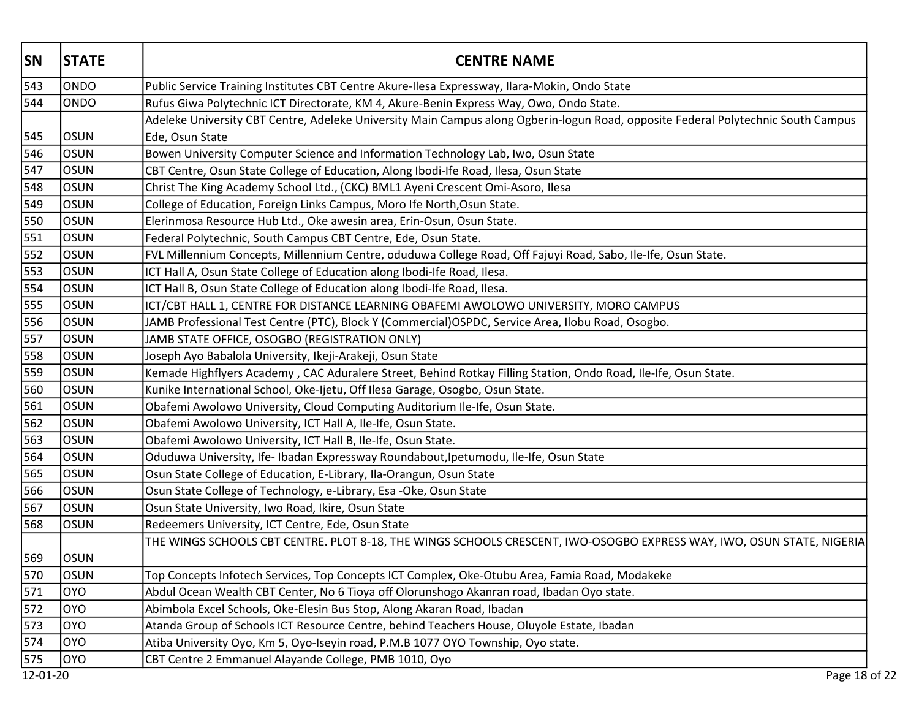| <b>SN</b> | <b>STATE</b> | <b>CENTRE NAME</b>                                                                                                                |
|-----------|--------------|-----------------------------------------------------------------------------------------------------------------------------------|
| 543       | <b>ONDO</b>  | Public Service Training Institutes CBT Centre Akure-Ilesa Expressway, Ilara-Mokin, Ondo State                                     |
| 544       | <b>ONDO</b>  | Rufus Giwa Polytechnic ICT Directorate, KM 4, Akure-Benin Express Way, Owo, Ondo State.                                           |
|           |              | Adeleke University CBT Centre, Adeleke University Main Campus along Ogberin-logun Road, opposite Federal Polytechnic South Campus |
| 545       | <b>OSUN</b>  | Ede, Osun State                                                                                                                   |
| 546       | <b>OSUN</b>  | Bowen University Computer Science and Information Technology Lab, Iwo, Osun State                                                 |
| 547       | <b>OSUN</b>  | CBT Centre, Osun State College of Education, Along Ibodi-Ife Road, Ilesa, Osun State                                              |
| 548       | <b>OSUN</b>  | Christ The King Academy School Ltd., (CKC) BML1 Ayeni Crescent Omi-Asoro, Ilesa                                                   |
| 549       | <b>OSUN</b>  | College of Education, Foreign Links Campus, Moro Ife North, Osun State.                                                           |
| 550       | <b>OSUN</b>  | Elerinmosa Resource Hub Ltd., Oke awesin area, Erin-Osun, Osun State.                                                             |
| 551       | <b>OSUN</b>  | Federal Polytechnic, South Campus CBT Centre, Ede, Osun State.                                                                    |
| 552       | <b>OSUN</b>  | FVL Millennium Concepts, Millennium Centre, oduduwa College Road, Off Fajuyi Road, Sabo, Ile-Ife, Osun State.                     |
| 553       | <b>OSUN</b>  | ICT Hall A, Osun State College of Education along Ibodi-Ife Road, Ilesa.                                                          |
| 554       | <b>OSUN</b>  | ICT Hall B, Osun State College of Education along Ibodi-Ife Road, Ilesa.                                                          |
| 555       | <b>OSUN</b>  | ICT/CBT HALL 1, CENTRE FOR DISTANCE LEARNING OBAFEMI AWOLOWO UNIVERSITY, MORO CAMPUS                                              |
| 556       | <b>OSUN</b>  | JAMB Professional Test Centre (PTC), Block Y (Commercial)OSPDC, Service Area, Ilobu Road, Osogbo.                                 |
| 557       | <b>OSUN</b>  | JAMB STATE OFFICE, OSOGBO (REGISTRATION ONLY)                                                                                     |
| 558       | <b>OSUN</b>  | Joseph Ayo Babalola University, Ikeji-Arakeji, Osun State                                                                         |
| 559       | <b>OSUN</b>  | Kemade Highflyers Academy, CAC Aduralere Street, Behind Rotkay Filling Station, Ondo Road, Ile-Ife, Osun State.                   |
| 560       | OSUN         | Kunike International School, Oke-Ijetu, Off Ilesa Garage, Osogbo, Osun State.                                                     |
| 561       | <b>OSUN</b>  | Obafemi Awolowo University, Cloud Computing Auditorium Ile-Ife, Osun State.                                                       |
| 562       | <b>OSUN</b>  | Obafemi Awolowo University, ICT Hall A, Ile-Ife, Osun State.                                                                      |
| 563       | <b>OSUN</b>  | Obafemi Awolowo University, ICT Hall B, Ile-Ife, Osun State.                                                                      |
| 564       | <b>OSUN</b>  | Oduduwa University, Ife- Ibadan Expressway Roundabout, Ipetumodu, Ile-Ife, Osun State                                             |
| 565       | <b>OSUN</b>  | Osun State College of Education, E-Library, Ila-Orangun, Osun State                                                               |
| 566       | <b>OSUN</b>  | Osun State College of Technology, e-Library, Esa -Oke, Osun State                                                                 |
| 567       | <b>OSUN</b>  | Osun State University, Iwo Road, Ikire, Osun State                                                                                |
| 568       | <b>OSUN</b>  | Redeemers University, ICT Centre, Ede, Osun State                                                                                 |
|           |              | THE WINGS SCHOOLS CBT CENTRE. PLOT 8-18, THE WINGS SCHOOLS CRESCENT, IWO-OSOGBO EXPRESS WAY, IWO, OSUN STATE, NIGERIA             |
| 569       | <b>OSUN</b>  |                                                                                                                                   |
| 570       | <b>OSUN</b>  | Top Concepts Infotech Services, Top Concepts ICT Complex, Oke-Otubu Area, Famia Road, Modakeke                                    |
| 571       | loyo         | Abdul Ocean Wealth CBT Center, No 6 Tioya off Olorunshogo Akanran road, Ibadan Oyo state.                                         |
| 572       | loyo         | Abimbola Excel Schools, Oke-Elesin Bus Stop, Along Akaran Road, Ibadan                                                            |
| 573       | <b>OYO</b>   | Atanda Group of Schools ICT Resource Centre, behind Teachers House, Oluyole Estate, Ibadan                                        |
| 574       | loyo         | Atiba University Oyo, Km 5, Oyo-Iseyin road, P.M.B 1077 OYO Township, Oyo state.                                                  |
| 575       | <b>OYO</b>   | CBT Centre 2 Emmanuel Alayande College, PMB 1010, Oyo                                                                             |
| 12-01-20  |              | Page 18 of 22                                                                                                                     |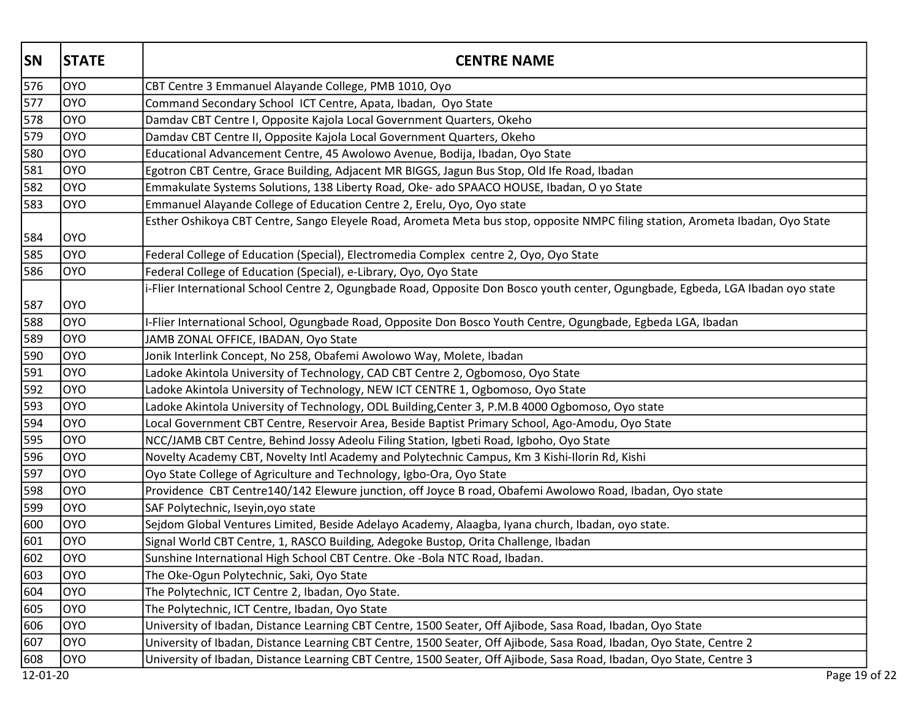| <b>SN</b> | <b>STATE</b> | <b>CENTRE NAME</b>                                                                                                              |
|-----------|--------------|---------------------------------------------------------------------------------------------------------------------------------|
| 576       | loyo         | CBT Centre 3 Emmanuel Alayande College, PMB 1010, Oyo                                                                           |
| 577       | <b>OYO</b>   | Command Secondary School ICT Centre, Apata, Ibadan, Oyo State                                                                   |
| 578       | loyo         | Damdav CBT Centre I, Opposite Kajola Local Government Quarters, Okeho                                                           |
| 579       | loyo         | Damdav CBT Centre II, Opposite Kajola Local Government Quarters, Okeho                                                          |
| 580       | loyo         | Educational Advancement Centre, 45 Awolowo Avenue, Bodija, Ibadan, Oyo State                                                    |
| 581       | loyo         | Egotron CBT Centre, Grace Building, Adjacent MR BIGGS, Jagun Bus Stop, Old Ife Road, Ibadan                                     |
| 582       | loyo         | Emmakulate Systems Solutions, 138 Liberty Road, Oke- ado SPAACO HOUSE, Ibadan, O yo State                                       |
| 583       | loyo         | Emmanuel Alayande College of Education Centre 2, Erelu, Oyo, Oyo state                                                          |
| 584       | <b>OYO</b>   | Esther Oshikoya CBT Centre, Sango Eleyele Road, Arometa Meta bus stop, opposite NMPC filing station, Arometa Ibadan, Oyo State  |
| 585       | loyo         | Federal College of Education (Special), Electromedia Complex centre 2, Oyo, Oyo State                                           |
| 586       | loyo         | Federal College of Education (Special), e-Library, Oyo, Oyo State                                                               |
| 587       | loyo         | i-Flier International School Centre 2, Ogungbade Road, Opposite Don Bosco youth center, Ogungbade, Egbeda, LGA Ibadan oyo state |
| 588       | loyo         | I-Flier International School, Ogungbade Road, Opposite Don Bosco Youth Centre, Ogungbade, Egbeda LGA, Ibadan                    |
| 589       | loyo         | JAMB ZONAL OFFICE, IBADAN, Oyo State                                                                                            |
| 590       | loyo         | Jonik Interlink Concept, No 258, Obafemi Awolowo Way, Molete, Ibadan                                                            |
| 591       | loyo         | Ladoke Akintola University of Technology, CAD CBT Centre 2, Ogbomoso, Oyo State                                                 |
| 592       | loyo         | Ladoke Akintola University of Technology, NEW ICT CENTRE 1, Ogbomoso, Oyo State                                                 |
| 593       | loyo         | Ladoke Akintola University of Technology, ODL Building, Center 3, P.M.B 4000 Ogbomoso, Oyo state                                |
| 594       | loyo         | Local Government CBT Centre, Reservoir Area, Beside Baptist Primary School, Ago-Amodu, Oyo State                                |
| 595       | loyo         | NCC/JAMB CBT Centre, Behind Jossy Adeolu Filing Station, Igbeti Road, Igboho, Oyo State                                         |
| 596       | loyo         | Novelty Academy CBT, Novelty Intl Academy and Polytechnic Campus, Km 3 Kishi-Ilorin Rd, Kishi                                   |
| 597       | loyo         | Oyo State College of Agriculture and Technology, Igbo-Ora, Oyo State                                                            |
| 598       | loyo         | Providence CBT Centre140/142 Elewure junction, off Joyce B road, Obafemi Awolowo Road, Ibadan, Oyo state                        |
| 599       | loyo         | SAF Polytechnic, Iseyin, oyo state                                                                                              |
| 600       | loyo         | Sejdom Global Ventures Limited, Beside Adelayo Academy, Alaagba, Iyana church, Ibadan, oyo state.                               |
| 601       | loyo         | Signal World CBT Centre, 1, RASCO Building, Adegoke Bustop, Orita Challenge, Ibadan                                             |
| 602       | loyo         | Sunshine International High School CBT Centre. Oke -Bola NTC Road, Ibadan.                                                      |
| 603       | loyo         | The Oke-Ogun Polytechnic, Saki, Oyo State                                                                                       |
| 604       | loyo         | The Polytechnic, ICT Centre 2, Ibadan, Oyo State.                                                                               |
| 605       | loyo         | The Polytechnic, ICT Centre, Ibadan, Oyo State                                                                                  |
| 606       | loyo         | University of Ibadan, Distance Learning CBT Centre, 1500 Seater, Off Ajibode, Sasa Road, Ibadan, Oyo State                      |
| 607       | loyo         | University of Ibadan, Distance Learning CBT Centre, 1500 Seater, Off Ajibode, Sasa Road, Ibadan, Oyo State, Centre 2            |
| 608       | OYO          | University of Ibadan, Distance Learning CBT Centre, 1500 Seater, Off Ajibode, Sasa Road, Ibadan, Oyo State, Centre 3            |
| 12-01-20  |              | Page 19 of 22                                                                                                                   |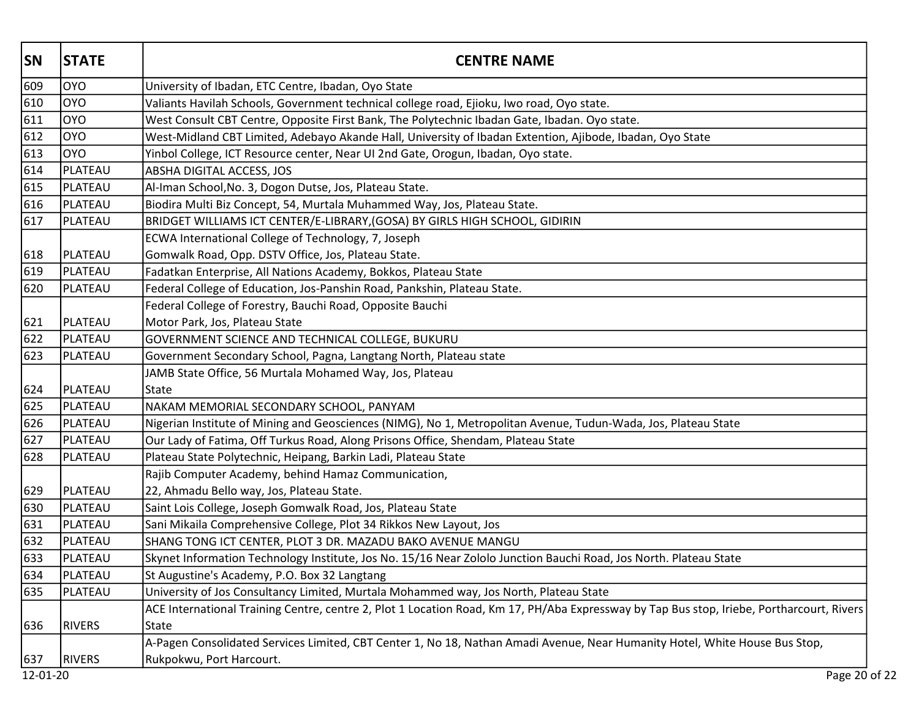| <b>SN</b> | <b>STATE</b>  | <b>CENTRE NAME</b>                                                                                                                        |
|-----------|---------------|-------------------------------------------------------------------------------------------------------------------------------------------|
| 609       | loyo          | University of Ibadan, ETC Centre, Ibadan, Oyo State                                                                                       |
| 610       | loyo          | Valiants Havilah Schools, Government technical college road, Ejioku, Iwo road, Oyo state.                                                 |
| 611       | loyo          | West Consult CBT Centre, Opposite First Bank, The Polytechnic Ibadan Gate, Ibadan. Oyo state.                                             |
| 612       | loyo          | West-Midland CBT Limited, Adebayo Akande Hall, University of Ibadan Extention, Ajibode, Ibadan, Oyo State                                 |
| 613       | <b>OYO</b>    | Yinbol College, ICT Resource center, Near UI 2nd Gate, Orogun, Ibadan, Oyo state.                                                         |
| 614       | PLATEAU       | ABSHA DIGITAL ACCESS, JOS                                                                                                                 |
| 615       | PLATEAU       | Al-Iman School, No. 3, Dogon Dutse, Jos, Plateau State.                                                                                   |
| 616       | PLATEAU       | Biodira Multi Biz Concept, 54, Murtala Muhammed Way, Jos, Plateau State.                                                                  |
| 617       | PLATEAU       | BRIDGET WILLIAMS ICT CENTER/E-LIBRARY, (GOSA) BY GIRLS HIGH SCHOOL, GIDIRIN                                                               |
|           |               | ECWA International College of Technology, 7, Joseph                                                                                       |
| 618       | PLATEAU       | Gomwalk Road, Opp. DSTV Office, Jos, Plateau State.                                                                                       |
| 619       | PLATEAU       | Fadatkan Enterprise, All Nations Academy, Bokkos, Plateau State                                                                           |
| 620       | PLATEAU       | Federal College of Education, Jos-Panshin Road, Pankshin, Plateau State.                                                                  |
|           |               | Federal College of Forestry, Bauchi Road, Opposite Bauchi                                                                                 |
| 621       | PLATEAU       | Motor Park, Jos, Plateau State                                                                                                            |
| 622       | PLATEAU       | GOVERNMENT SCIENCE AND TECHNICAL COLLEGE, BUKURU                                                                                          |
| 623       | PLATEAU       | Government Secondary School, Pagna, Langtang North, Plateau state                                                                         |
|           |               | JAMB State Office, 56 Murtala Mohamed Way, Jos, Plateau                                                                                   |
| 624       | PLATEAU       | <b>State</b>                                                                                                                              |
| 625       | PLATEAU       | NAKAM MEMORIAL SECONDARY SCHOOL, PANYAM                                                                                                   |
| 626       | PLATEAU       | Nigerian Institute of Mining and Geosciences (NIMG), No 1, Metropolitan Avenue, Tudun-Wada, Jos, Plateau State                            |
| 627       | PLATEAU       | Our Lady of Fatima, Off Turkus Road, Along Prisons Office, Shendam, Plateau State                                                         |
| 628       | PLATEAU       | Plateau State Polytechnic, Heipang, Barkin Ladi, Plateau State                                                                            |
|           |               | Rajib Computer Academy, behind Hamaz Communication,                                                                                       |
| 629       | PLATEAU       | 22, Ahmadu Bello way, Jos, Plateau State.                                                                                                 |
| 630       | PLATEAU       | Saint Lois College, Joseph Gomwalk Road, Jos, Plateau State                                                                               |
| 631       | PLATEAU       | Sani Mikaila Comprehensive College, Plot 34 Rikkos New Layout, Jos                                                                        |
| 632       | PLATEAU       | SHANG TONG ICT CENTER, PLOT 3 DR. MAZADU BAKO AVENUE MANGU                                                                                |
| 633       | PLATEAU       | Skynet Information Technology Institute, Jos No. 15/16 Near Zololo Junction Bauchi Road, Jos North. Plateau State                         |
| 634       | PLATEAU       | St Augustine's Academy, P.O. Box 32 Langtang                                                                                              |
| 635       | PLATEAU       | University of Jos Consultancy Limited, Murtala Mohammed way, Jos North, Plateau State                                                     |
|           |               | ACE International Training Centre, centre 2, Plot 1 Location Road, Km 17, PH/Aba Expressway by Tap Bus stop, Iriebe, Portharcourt, Rivers |
| 636       | <b>RIVERS</b> | <b>State</b>                                                                                                                              |
|           |               | A-Pagen Consolidated Services Limited, CBT Center 1, No 18, Nathan Amadi Avenue, Near Humanity Hotel, White House Bus Stop,               |
| 637       | <b>RIVERS</b> | Rukpokwu, Port Harcourt.                                                                                                                  |
| 12-01-20  |               | Page 20 of 22                                                                                                                             |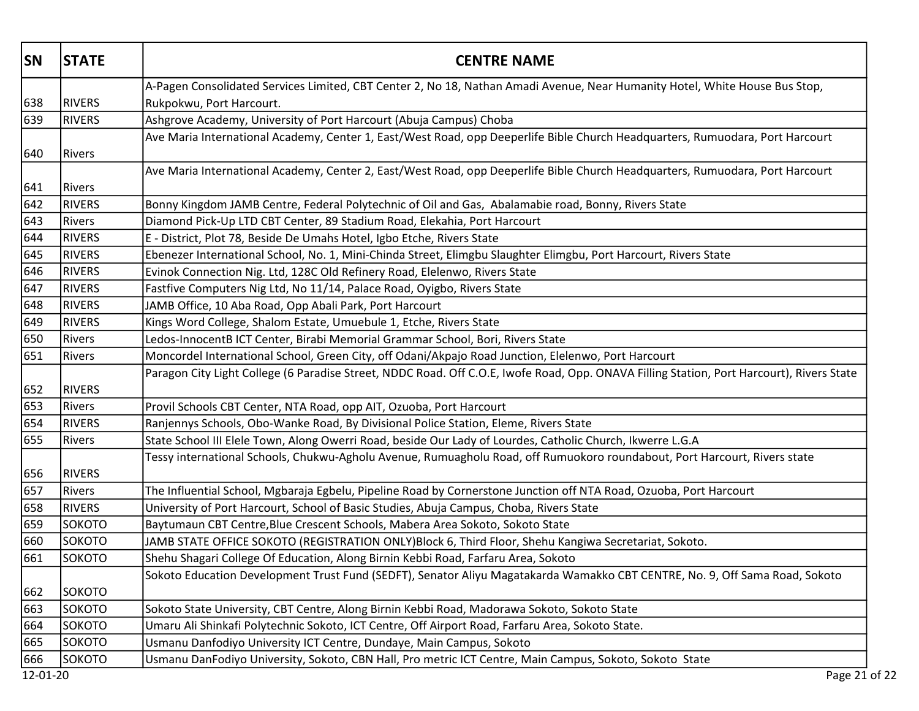| <b>SN</b> | <b>STATE</b>  | <b>CENTRE NAME</b>                                                                                                                        |
|-----------|---------------|-------------------------------------------------------------------------------------------------------------------------------------------|
|           |               | A-Pagen Consolidated Services Limited, CBT Center 2, No 18, Nathan Amadi Avenue, Near Humanity Hotel, White House Bus Stop,               |
| 638       | <b>RIVERS</b> | Rukpokwu, Port Harcourt.                                                                                                                  |
| 639       | <b>RIVERS</b> | Ashgrove Academy, University of Port Harcourt (Abuja Campus) Choba                                                                        |
|           |               | Ave Maria International Academy, Center 1, East/West Road, opp Deeperlife Bible Church Headquarters, Rumuodara, Port Harcourt             |
| 640       | Rivers        |                                                                                                                                           |
|           |               | Ave Maria International Academy, Center 2, East/West Road, opp Deeperlife Bible Church Headquarters, Rumuodara, Port Harcourt             |
| 641       | <b>Rivers</b> |                                                                                                                                           |
| 642       | <b>RIVERS</b> | Bonny Kingdom JAMB Centre, Federal Polytechnic of Oil and Gas, Abalamabie road, Bonny, Rivers State                                       |
| 643       | <b>Rivers</b> | Diamond Pick-Up LTD CBT Center, 89 Stadium Road, Elekahia, Port Harcourt                                                                  |
| 644       | <b>RIVERS</b> | E - District, Plot 78, Beside De Umahs Hotel, Igbo Etche, Rivers State                                                                    |
| 645       | <b>RIVERS</b> | Ebenezer International School, No. 1, Mini-Chinda Street, Elimgbu Slaughter Elimgbu, Port Harcourt, Rivers State                          |
| 646       | <b>RIVERS</b> | Evinok Connection Nig. Ltd, 128C Old Refinery Road, Elelenwo, Rivers State                                                                |
| 647       | <b>RIVERS</b> | Fastfive Computers Nig Ltd, No 11/14, Palace Road, Oyigbo, Rivers State                                                                   |
| 648       | <b>RIVERS</b> | JAMB Office, 10 Aba Road, Opp Abali Park, Port Harcourt                                                                                   |
| 649       | <b>RIVERS</b> | Kings Word College, Shalom Estate, Umuebule 1, Etche, Rivers State                                                                        |
| 650       | Rivers        | Ledos-InnocentB ICT Center, Birabi Memorial Grammar School, Bori, Rivers State                                                            |
| 651       | Rivers        | Moncordel International School, Green City, off Odani/Akpajo Road Junction, Elelenwo, Port Harcourt                                       |
| 652       | <b>RIVERS</b> | Paragon City Light College (6 Paradise Street, NDDC Road. Off C.O.E, Iwofe Road, Opp. ONAVA Filling Station, Port Harcourt), Rivers State |
| 653       | <b>Rivers</b> | Provil Schools CBT Center, NTA Road, opp AIT, Ozuoba, Port Harcourt                                                                       |
| 654       | <b>RIVERS</b> | Ranjennys Schools, Obo-Wanke Road, By Divisional Police Station, Eleme, Rivers State                                                      |
| 655       | Rivers        | State School III Elele Town, Along Owerri Road, beside Our Lady of Lourdes, Catholic Church, Ikwerre L.G.A                                |
| 656       | <b>RIVERS</b> | Tessy international Schools, Chukwu-Agholu Avenue, Rumuagholu Road, off Rumuokoro roundabout, Port Harcourt, Rivers state                 |
| 657       | Rivers        | The Influential School, Mgbaraja Egbelu, Pipeline Road by Cornerstone Junction off NTA Road, Ozuoba, Port Harcourt                        |
| 658       | <b>RIVERS</b> | University of Port Harcourt, School of Basic Studies, Abuja Campus, Choba, Rivers State                                                   |
| 659       | SOKOTO        | Baytumaun CBT Centre, Blue Crescent Schools, Mabera Area Sokoto, Sokoto State                                                             |
| 660       | SOKOTO        | JAMB STATE OFFICE SOKOTO (REGISTRATION ONLY)Block 6, Third Floor, Shehu Kangiwa Secretariat, Sokoto.                                      |
| 661       | SOKOTO        | Shehu Shagari College Of Education, Along Birnin Kebbi Road, Farfaru Area, Sokoto                                                         |
|           |               | Sokoto Education Development Trust Fund (SEDFT), Senator Aliyu Magatakarda Wamakko CBT CENTRE, No. 9, Off Sama Road, Sokoto               |
| 662       | SOKOTO        |                                                                                                                                           |
| 663       | SOKOTO        | Sokoto State University, CBT Centre, Along Birnin Kebbi Road, Madorawa Sokoto, Sokoto State                                               |
| 664       | SOKOTO        | Umaru Ali Shinkafi Polytechnic Sokoto, ICT Centre, Off Airport Road, Farfaru Area, Sokoto State.                                          |
| 665       | SOKOTO        | Usmanu Danfodiyo University ICT Centre, Dundaye, Main Campus, Sokoto                                                                      |
| 666       | SOKOTO        | Usmanu DanFodiyo University, Sokoto, CBN Hall, Pro metric ICT Centre, Main Campus, Sokoto, Sokoto State                                   |
| 12-01-20  |               | Page 21 of 22                                                                                                                             |